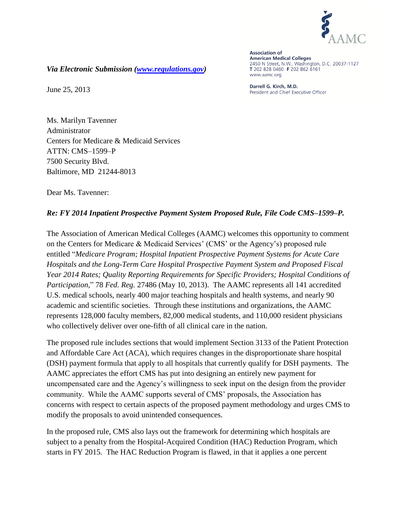

**Association of American Medical Colleges** 2450 N Street, N.W., Washington, D.C. 20037-1127 T 202 828 0460 F 202 862 6161 www.aamc.org

Darrell G. Kirch, M.D. President and Chief Executive Officer

*Via Electronic Submission [\(www.regulations.gov\)](http://www.regulations.gov/)*

June 25, 2013

Ms. Marilyn Tavenner Administrator Centers for Medicare & Medicaid Services ATTN: CMS–1599–P 7500 Security Blvd. Baltimore, MD 21244-8013

Dear Ms. Tavenner:

## *Re: FY 2014 Inpatient Prospective Payment System Proposed Rule, File Code CMS–1599–P.*

The Association of American Medical Colleges (AAMC) welcomes this opportunity to comment on the Centers for Medicare & Medicaid Services' (CMS' or the Agency's) proposed rule entitled "*Medicare Program; Hospital Inpatient Prospective Payment Systems for Acute Care Hospitals and the Long-Term Care Hospital Prospective Payment System and Proposed Fiscal Year 2014 Rates; Quality Reporting Requirements for Specific Providers; Hospital Conditions of Participation,*" 78 *Fed. Reg.* 27486 (May 10, 2013). The AAMC represents all 141 accredited U.S. medical schools, nearly 400 major teaching hospitals and health systems, and nearly 90 academic and scientific societies. Through these institutions and organizations, the AAMC represents 128,000 faculty members, 82,000 medical students, and 110,000 resident physicians who collectively deliver over one-fifth of all clinical care in the nation.

The proposed rule includes sections that would implement Section 3133 of the Patient Protection and Affordable Care Act (ACA), which requires changes in the disproportionate share hospital (DSH) payment formula that apply to all hospitals that currently qualify for DSH payments. The AAMC appreciates the effort CMS has put into designing an entirely new payment for uncompensated care and the Agency's willingness to seek input on the design from the provider community. While the AAMC supports several of CMS' proposals, the Association has concerns with respect to certain aspects of the proposed payment methodology and urges CMS to modify the proposals to avoid unintended consequences.

In the proposed rule, CMS also lays out the framework for determining which hospitals are subject to a penalty from the Hospital-Acquired Condition (HAC) Reduction Program, which starts in FY 2015. The HAC Reduction Program is flawed, in that it applies a one percent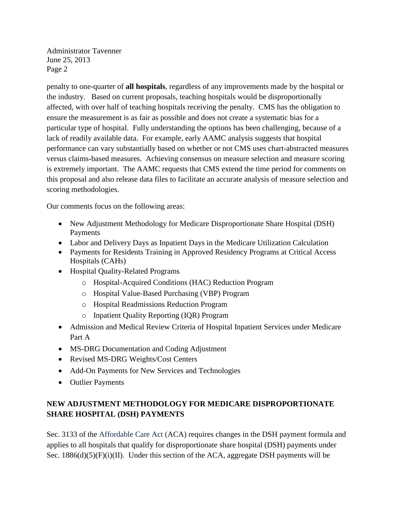penalty to one-quarter of **all hospitals**, regardless of any improvements made by the hospital or the industry. Based on current proposals, teaching hospitals would be disproportionally affected, with over half of teaching hospitals receiving the penalty. CMS has the obligation to ensure the measurement is as fair as possible and does not create a systematic bias for a particular type of hospital. Fully understanding the options has been challenging, because of a lack of readily available data. For example, early AAMC analysis suggests that hospital performance can vary substantially based on whether or not CMS uses chart-abstracted measures versus claims-based measures. Achieving consensus on measure selection and measure scoring is extremely important. The AAMC requests that CMS extend the time period for comments on this proposal and also release data files to facilitate an accurate analysis of measure selection and scoring methodologies.

Our comments focus on the following areas:

- New Adjustment Methodology for Medicare Disproportionate Share Hospital (DSH) Payments
- Labor and Delivery Days as Inpatient Days in the Medicare Utilization Calculation
- Payments for Residents Training in Approved Residency Programs at Critical Access Hospitals (CAHs)
- Hospital Quality-Related Programs
	- o Hospital-Acquired Conditions (HAC) Reduction Program
	- o Hospital Value-Based Purchasing (VBP) Program
	- o Hospital Readmissions Reduction Program
	- o Inpatient Quality Reporting (IQR) Program
- Admission and Medical Review Criteria of Hospital Inpatient Services under Medicare Part A
- MS-DRG Documentation and Coding Adjustment
- Revised MS-DRG Weights/Cost Centers
- Add-On Payments for New Services and Technologies
- Outlier Payments

# **NEW ADJUSTMENT METHODOLOGY FOR MEDICARE DISPROPORTIONATE SHARE HOSPITAL (DSH) PAYMENTS**

Sec. 3133 of the Affordable Care Act (ACA) requires changes in the DSH payment formula and applies to all hospitals that qualify for disproportionate share hospital (DSH) payments under Sec. 1886(d)(5)(F)(i)(II). Under this section of the ACA, aggregate DSH payments will be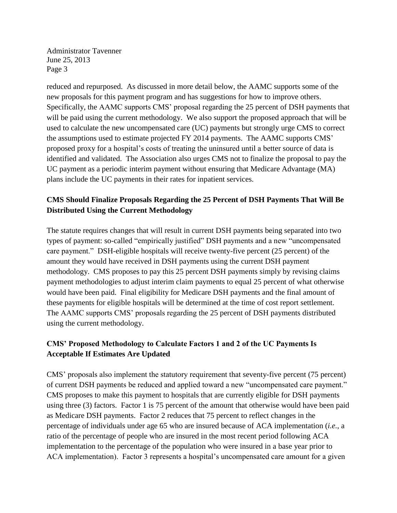reduced and repurposed. As discussed in more detail below, the AAMC supports some of the new proposals for this payment program and has suggestions for how to improve others. Specifically, the AAMC supports CMS' proposal regarding the 25 percent of DSH payments that will be paid using the current methodology. We also support the proposed approach that will be used to calculate the new uncompensated care (UC) payments but strongly urge CMS to correct the assumptions used to estimate projected FY 2014 payments. The AAMC supports CMS' proposed proxy for a hospital's costs of treating the uninsured until a better source of data is identified and validated. The Association also urges CMS not to finalize the proposal to pay the UC payment as a periodic interim payment without ensuring that Medicare Advantage (MA) plans include the UC payments in their rates for inpatient services.

# **CMS Should Finalize Proposals Regarding the 25 Percent of DSH Payments That Will Be Distributed Using the Current Methodology**

The statute requires changes that will result in current DSH payments being separated into two types of payment: so-called "empirically justified" DSH payments and a new "uncompensated care payment." DSH-eligible hospitals will receive twenty-five percent (25 percent) of the amount they would have received in DSH payments using the current DSH payment methodology. CMS proposes to pay this 25 percent DSH payments simply by revising claims payment methodologies to adjust interim claim payments to equal 25 percent of what otherwise would have been paid. Final eligibility for Medicare DSH payments and the final amount of these payments for eligible hospitals will be determined at the time of cost report settlement. The AAMC supports CMS' proposals regarding the 25 percent of DSH payments distributed using the current methodology.

# **CMS' Proposed Methodology to Calculate Factors 1 and 2 of the UC Payments Is Acceptable If Estimates Are Updated**

CMS' proposals also implement the statutory requirement that seventy-five percent (75 percent) of current DSH payments be reduced and applied toward a new "uncompensated care payment." CMS proposes to make this payment to hospitals that are currently eligible for DSH payments using three (3) factors. Factor 1 is 75 percent of the amount that otherwise would have been paid as Medicare DSH payments. Factor 2 reduces that 75 percent to reflect changes in the percentage of individuals under age 65 who are insured because of ACA implementation (*i.e.*, a ratio of the percentage of people who are insured in the most recent period following ACA implementation to the percentage of the population who were insured in a base year prior to ACA implementation). Factor 3 represents a hospital's uncompensated care amount for a given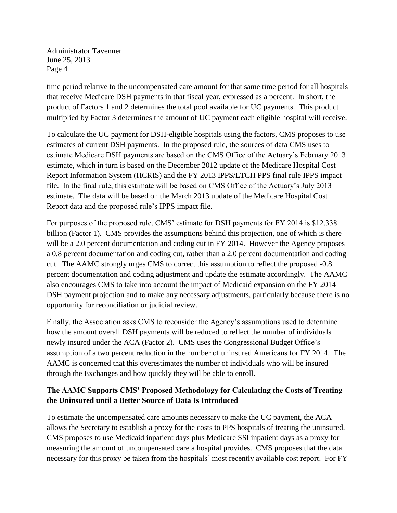time period relative to the uncompensated care amount for that same time period for all hospitals that receive Medicare DSH payments in that fiscal year, expressed as a percent. In short, the product of Factors 1 and 2 determines the total pool available for UC payments. This product multiplied by Factor 3 determines the amount of UC payment each eligible hospital will receive.

To calculate the UC payment for DSH-eligible hospitals using the factors, CMS proposes to use estimates of current DSH payments. In the proposed rule, the sources of data CMS uses to estimate Medicare DSH payments are based on the CMS Office of the Actuary's February 2013 estimate, which in turn is based on the December 2012 update of the Medicare Hospital Cost Report Information System (HCRIS) and the FY 2013 IPPS/LTCH PPS final rule IPPS impact file. In the final rule, this estimate will be based on CMS Office of the Actuary's July 2013 estimate. The data will be based on the March 2013 update of the Medicare Hospital Cost Report data and the proposed rule's IPPS impact file.

For purposes of the proposed rule, CMS' estimate for DSH payments for FY 2014 is \$12.338 billion (Factor 1). CMS provides the assumptions behind this projection, one of which is there will be a 2.0 percent documentation and coding cut in FY 2014. However the Agency proposes a 0.8 percent documentation and coding cut, rather than a 2.0 percent documentation and coding cut.The AAMC strongly urges CMS to correct this assumption to reflect the proposed -0.8 percent documentation and coding adjustment and update the estimate accordingly. The AAMC also encourages CMS to take into account the impact of Medicaid expansion on the FY 2014 DSH payment projection and to make any necessary adjustments, particularly because there is no opportunity for reconciliation or judicial review.

Finally, the Association asks CMS to reconsider the Agency's assumptions used to determine how the amount overall DSH payments will be reduced to reflect the number of individuals newly insured under the ACA (Factor 2). CMS uses the Congressional Budget Office's assumption of a two percent reduction in the number of uninsured Americans for FY 2014. The AAMC is concerned that this overestimates the number of individuals who will be insured through the Exchanges and how quickly they will be able to enroll.

# **The AAMC Supports CMS' Proposed Methodology for Calculating the Costs of Treating the Uninsured until a Better Source of Data Is Introduced**

To estimate the uncompensated care amounts necessary to make the UC payment, the ACA allows the Secretary to establish a proxy for the costs to PPS hospitals of treating the uninsured. CMS proposes to use Medicaid inpatient days plus Medicare SSI inpatient days as a proxy for measuring the amount of uncompensated care a hospital provides. CMS proposes that the data necessary for this proxy be taken from the hospitals' most recently available cost report. For FY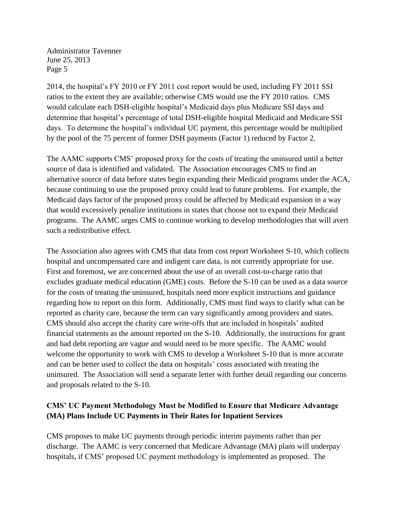2014, the hospital's FY 2010 or FY 2011 cost report would be used, including FY 2011 SSI ratios to the extent they are available; otherwise CMS would use the FY 2010 ratios. CMS would calculate each DSH-eligible hospital's Medicaid days plus Medicare SSI days and determine that hospital's percentage of total DSH-eligible hospital Medicaid and Medicare SSI days. To determine the hospital's individual UC payment, this percentage would be multiplied by the pool of the 75 percent of former DSH payments (Factor 1) reduced by Factor 2.

The AAMC supports CMS' proposed proxy for the costs of treating the uninsured until a better source of data is identified and validated. The Association encourages CMS to find an alternative source of data before states begin expanding their Medicaid programs under the ACA, because continuing to use the proposed proxy could lead to future problems. For example, the Medicaid days factor of the proposed proxy could be affected by Medicaid expansion in a way that would excessively penalize institutions in states that choose not to expand their Medicaid programs. The AAMC urges CMS to continue working to develop methodologies that will avert such a redistributive effect.

The Association also agrees with CMS that data from cost report Worksheet S-10, which collects hospital and uncompensated care and indigent care data, is not currently appropriate for use. First and foremost, we are concerned about the use of an overall cost-to-charge ratio that excludes graduate medical education (GME) costs. Before the S-10 can be used as a data source for the costs of treating the uninsured, hospitals need more explicit instructions and guidance regarding how to report on this form. Additionally, CMS must find ways to clarify what can be reported as charity care, because the term can vary significantly among providers and states. CMS should also accept the charity care write-offs that are included in hospitals' audited financial statements as the amount reported on the S-10. Additionally, the instructions for grant and bad debt reporting are vague and would need to be more specific. The AAMC would welcome the opportunity to work with CMS to develop a Worksheet S-10 that is more accurate and can be better used to collect the data on hospitals' costs associated with treating the uninsured. The Association will send a separate letter with further detail regarding our concerns and proposals related to the S-10.

# **CMS' UC Payment Methodology Must be Modified to Ensure that Medicare Advantage (MA) Plans Include UC Payments in Their Rates for Inpatient Services**

CMS proposes to make UC payments through periodic interim payments rather than per discharge. The AAMC is very concerned that Medicare Advantage (MA) plans will underpay hospitals, if CMS' proposed UC payment methodology is implemented as proposed. The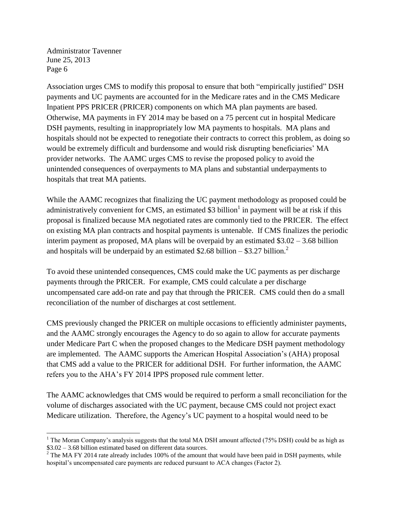$\overline{\phantom{a}}$ 

Association urges CMS to modify this proposal to ensure that both "empirically justified" DSH payments and UC payments are accounted for in the Medicare rates and in the CMS Medicare Inpatient PPS PRICER (PRICER) components on which MA plan payments are based. Otherwise, MA payments in FY 2014 may be based on a 75 percent cut in hospital Medicare DSH payments, resulting in inappropriately low MA payments to hospitals. MA plans and hospitals should not be expected to renegotiate their contracts to correct this problem, as doing so would be extremely difficult and burdensome and would risk disrupting beneficiaries' MA provider networks. The AAMC urges CMS to revise the proposed policy to avoid the unintended consequences of overpayments to MA plans and substantial underpayments to hospitals that treat MA patients.

While the AAMC recognizes that finalizing the UC payment methodology as proposed could be administratively convenient for CMS, an estimated \$3 billion<sup>1</sup> in payment will be at risk if this proposal is finalized because MA negotiated rates are commonly tied to the PRICER. The effect on existing MA plan contracts and hospital payments is untenable. If CMS finalizes the periodic interim payment as proposed, MA plans will be overpaid by an estimated \$3.02 – 3.68 billion and hospitals will be underpaid by an estimated \$2.68 billion – \$3.27 billion.<sup>2</sup>

To avoid these unintended consequences, CMS could make the UC payments as per discharge payments through the PRICER. For example, CMS could calculate a per discharge uncompensated care add-on rate and pay that through the PRICER. CMS could then do a small reconciliation of the number of discharges at cost settlement.

CMS previously changed the PRICER on multiple occasions to efficiently administer payments, and the AAMC strongly encourages the Agency to do so again to allow for accurate payments under Medicare Part C when the proposed changes to the Medicare DSH payment methodology are implemented. The AAMC supports the American Hospital Association's (AHA) proposal that CMS add a value to the PRICER for additional DSH. For further information, the AAMC refers you to the AHA's FY 2014 IPPS proposed rule comment letter.

The AAMC acknowledges that CMS would be required to perform a small reconciliation for the volume of discharges associated with the UC payment, because CMS could not project exact Medicare utilization. Therefore, the Agency's UC payment to a hospital would need to be

<sup>&</sup>lt;sup>1</sup> The Moran Company's analysis suggests that the total MA DSH amount affected (75% DSH) could be as high as \$3.02 – 3.68 billion estimated based on different data sources.

<sup>&</sup>lt;sup>2</sup> The MA FY 2014 rate already includes 100% of the amount that would have been paid in DSH payments, while hospital's uncompensated care payments are reduced pursuant to ACA changes (Factor 2).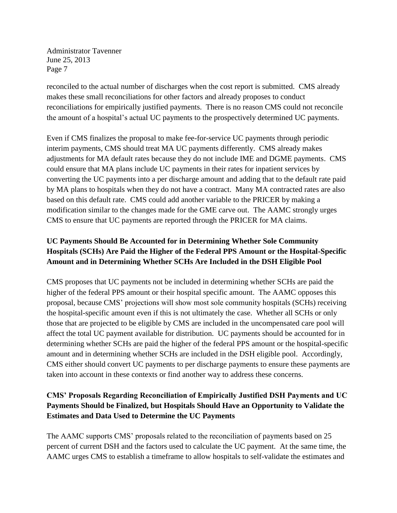reconciled to the actual number of discharges when the cost report is submitted. CMS already makes these small reconciliations for other factors and already proposes to conduct reconciliations for empirically justified payments. There is no reason CMS could not reconcile the amount of a hospital's actual UC payments to the prospectively determined UC payments.

Even if CMS finalizes the proposal to make fee-for-service UC payments through periodic interim payments, CMS should treat MA UC payments differently. CMS already makes adjustments for MA default rates because they do not include IME and DGME payments. CMS could ensure that MA plans include UC payments in their rates for inpatient services by converting the UC payments into a per discharge amount and adding that to the default rate paid by MA plans to hospitals when they do not have a contract. Many MA contracted rates are also based on this default rate. CMS could add another variable to the PRICER by making a modification similar to the changes made for the GME carve out. The AAMC strongly urges CMS to ensure that UC payments are reported through the PRICER for MA claims.

# **UC Payments Should Be Accounted for in Determining Whether Sole Community Hospitals (SCHs) Are Paid the Higher of the Federal PPS Amount or the Hospital-Specific Amount and in Determining Whether SCHs Are Included in the DSH Eligible Pool**

CMS proposes that UC payments not be included in determining whether SCHs are paid the higher of the federal PPS amount or their hospital specific amount. The AAMC opposes this proposal, because CMS' projections will show most sole community hospitals (SCHs) receiving the hospital-specific amount even if this is not ultimately the case. Whether all SCHs or only those that are projected to be eligible by CMS are included in the uncompensated care pool will affect the total UC payment available for distribution. UC payments should be accounted for in determining whether SCHs are paid the higher of the federal PPS amount or the hospital-specific amount and in determining whether SCHs are included in the DSH eligible pool. Accordingly, CMS either should convert UC payments to per discharge payments to ensure these payments are taken into account in these contexts or find another way to address these concerns.

# **CMS' Proposals Regarding Reconciliation of Empirically Justified DSH Payments and UC Payments Should be Finalized, but Hospitals Should Have an Opportunity to Validate the Estimates and Data Used to Determine the UC Payments**

The AAMC supports CMS' proposals related to the reconciliation of payments based on 25 percent of current DSH and the factors used to calculate the UC payment. At the same time, the AAMC urges CMS to establish a timeframe to allow hospitals to self-validate the estimates and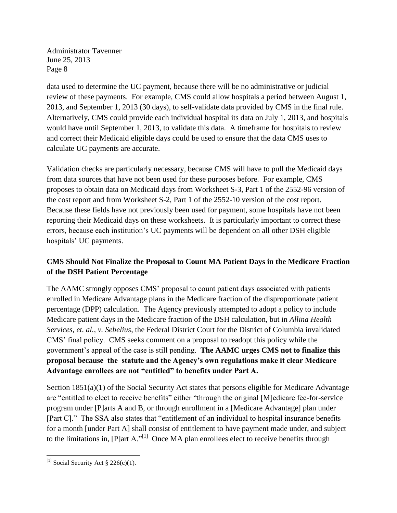data used to determine the UC payment, because there will be no administrative or judicial review of these payments. For example, CMS could allow hospitals a period between August 1, 2013, and September 1, 2013 (30 days), to self-validate data provided by CMS in the final rule. Alternatively, CMS could provide each individual hospital its data on July 1, 2013, and hospitals would have until September 1, 2013, to validate this data. A timeframe for hospitals to review and correct their Medicaid eligible days could be used to ensure that the data CMS uses to calculate UC payments are accurate.

Validation checks are particularly necessary, because CMS will have to pull the Medicaid days from data sources that have not been used for these purposes before. For example, CMS proposes to obtain data on Medicaid days from Worksheet S-3, Part 1 of the 2552-96 version of the cost report and from Worksheet S-2, Part 1 of the 2552-10 version of the cost report. Because these fields have not previously been used for payment, some hospitals have not been reporting their Medicaid days on these worksheets. It is particularly important to correct these errors, because each institution's UC payments will be dependent on all other DSH eligible hospitals' UC payments.

# **CMS Should Not Finalize the Proposal to Count MA Patient Days in the Medicare Fraction of the DSH Patient Percentage**

The AAMC strongly opposes CMS' proposal to count patient days associated with patients enrolled in Medicare Advantage plans in the Medicare fraction of the disproportionate patient percentage (DPP) calculation. The Agency previously attempted to adopt a policy to include Medicare patient days in the Medicare fraction of the DSH calculation, but in *Allina Health Services, et. al., v. Sebelius*, the Federal District Court for the District of Columbia invalidated CMS' final policy. CMS seeks comment on a proposal to readopt this policy while the government's appeal of the case is still pending. **The AAMC urges CMS not to finalize this proposal because the statute and the Agency's own regulations make it clear Medicare Advantage enrollees are not "entitled" to benefits under Part A.** 

Section 1851(a)(1) of the Social Security Act states that persons eligible for Medicare Advantage are "entitled to elect to receive benefits" either "through the original [M]edicare fee-for-service program under [P]arts A and B, or through enrollment in a [Medicare Advantage] plan under [Part C]." The SSA also states that "entitlement of an individual to hospital insurance benefits for a month [under Part A] shall consist of entitlement to have payment made under, and subject to the limitations in,  $[P]$ art A."<sup>[1]</sup> Once MA plan enrollees elect to receive benefits through

 $\overline{\phantom{a}}$ <sup>[1]</sup> Social Security Act § 226(c)(1).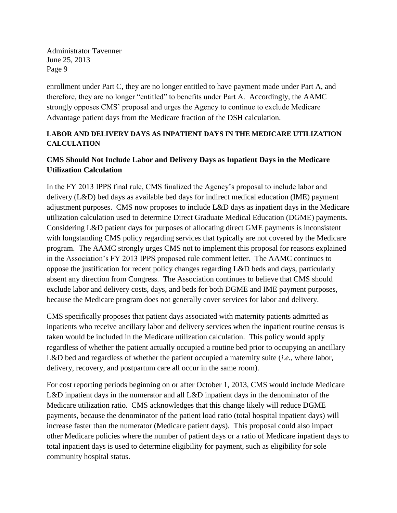enrollment under Part C, they are no longer entitled to have payment made under Part A, and therefore, they are no longer "entitled" to benefits under Part A. Accordingly, the AAMC strongly opposes CMS' proposal and urges the Agency to continue to exclude Medicare Advantage patient days from the Medicare fraction of the DSH calculation.

## **LABOR AND DELIVERY DAYS AS INPATIENT DAYS IN THE MEDICARE UTILIZATION CALCULATION**

# **CMS Should Not Include Labor and Delivery Days as Inpatient Days in the Medicare Utilization Calculation**

In the FY 2013 IPPS final rule, CMS finalized the Agency's proposal to include labor and delivery (L&D) bed days as available bed days for indirect medical education (IME) payment adjustment purposes. CMS now proposes to include L&D days as inpatient days in the Medicare utilization calculation used to determine Direct Graduate Medical Education (DGME) payments. Considering L&D patient days for purposes of allocating direct GME payments is inconsistent with longstanding CMS policy regarding services that typically are not covered by the Medicare program. The AAMC strongly urges CMS not to implement this proposal for reasons explained in the Association's FY 2013 IPPS proposed rule comment letter. The AAMC continues to oppose the justification for recent policy changes regarding L&D beds and days, particularly absent any direction from Congress. The Association continues to believe that CMS should exclude labor and delivery costs, days, and beds for both DGME and IME payment purposes, because the Medicare program does not generally cover services for labor and delivery.

CMS specifically proposes that patient days associated with maternity patients admitted as inpatients who receive ancillary labor and delivery services when the inpatient routine census is taken would be included in the Medicare utilization calculation. This policy would apply regardless of whether the patient actually occupied a routine bed prior to occupying an ancillary L&D bed and regardless of whether the patient occupied a maternity suite (*i.e.*, where labor, delivery, recovery, and postpartum care all occur in the same room).

For cost reporting periods beginning on or after October 1, 2013, CMS would include Medicare L&D inpatient days in the numerator and all L&D inpatient days in the denominator of the Medicare utilization ratio. CMS acknowledges that this change likely will reduce DGME payments, because the denominator of the patient load ratio (total hospital inpatient days) will increase faster than the numerator (Medicare patient days). This proposal could also impact other Medicare policies where the number of patient days or a ratio of Medicare inpatient days to total inpatient days is used to determine eligibility for payment, such as eligibility for sole community hospital status.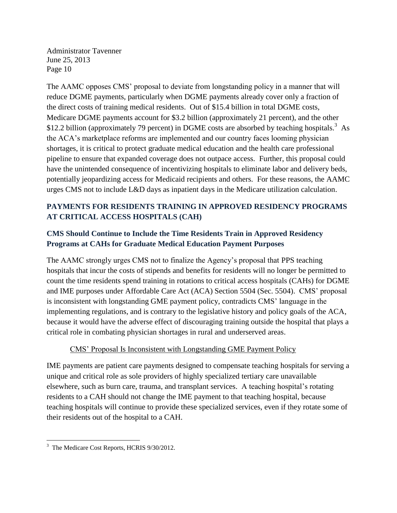The AAMC opposes CMS' proposal to deviate from longstanding policy in a manner that will reduce DGME payments, particularly when DGME payments already cover only a fraction of the direct costs of training medical residents. Out of \$15.4 billion in total DGME costs, Medicare DGME payments account for \$3.2 billion (approximately 21 percent), and the other \$12.2 billion (approximately 79 percent) in DGME costs are absorbed by teaching hospitals.<sup>3</sup> As the ACA's marketplace reforms are implemented and our country faces looming physician shortages, it is critical to protect graduate medical education and the health care professional pipeline to ensure that expanded coverage does not outpace access. Further, this proposal could have the unintended consequence of incentivizing hospitals to eliminate labor and delivery beds, potentially jeopardizing access for Medicaid recipients and others. For these reasons, the AAMC urges CMS not to include L&D days as inpatient days in the Medicare utilization calculation.

# **PAYMENTS FOR RESIDENTS TRAINING IN APPROVED RESIDENCY PROGRAMS AT CRITICAL ACCESS HOSPITALS (CAH)**

# **CMS Should Continue to Include the Time Residents Train in Approved Residency Programs at CAHs for Graduate Medical Education Payment Purposes**

The AAMC strongly urges CMS not to finalize the Agency's proposal that PPS teaching hospitals that incur the costs of stipends and benefits for residents will no longer be permitted to count the time residents spend training in rotations to critical access hospitals (CAHs) for DGME and IME purposes under Affordable Care Act (ACA) Section 5504 (Sec. 5504). CMS' proposal is inconsistent with longstanding GME payment policy, contradicts CMS' language in the implementing regulations, and is contrary to the legislative history and policy goals of the ACA, because it would have the adverse effect of discouraging training outside the hospital that plays a critical role in combating physician shortages in rural and underserved areas.

## CMS' Proposal Is Inconsistent with Longstanding GME Payment Policy

IME payments are patient care payments designed to compensate teaching hospitals for serving a unique and critical role as sole providers of highly specialized tertiary care unavailable elsewhere, such as burn care, trauma, and transplant services. A teaching hospital's rotating residents to a CAH should not change the IME payment to that teaching hospital, because teaching hospitals will continue to provide these specialized services, even if they rotate some of their residents out of the hospital to a CAH.

 $\overline{\phantom{a}}$ <sup>3</sup> The Medicare Cost Reports, HCRIS 9/30/2012.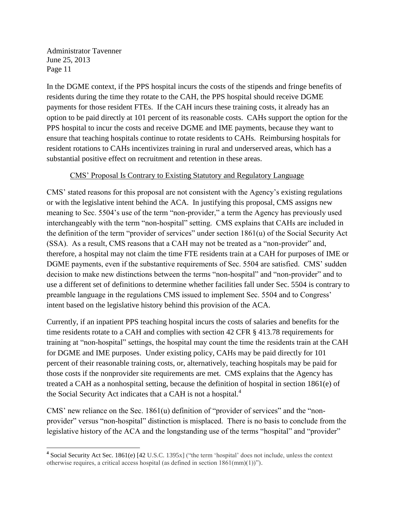In the DGME context, if the PPS hospital incurs the costs of the stipends and fringe benefits of residents during the time they rotate to the CAH, the PPS hospital should receive DGME payments for those resident FTEs. If the CAH incurs these training costs, it already has an option to be paid directly at 101 percent of its reasonable costs. CAHs support the option for the PPS hospital to incur the costs and receive DGME and IME payments, because they want to ensure that teaching hospitals continue to rotate residents to CAHs. Reimbursing hospitals for resident rotations to CAHs incentivizes training in rural and underserved areas, which has a substantial positive effect on recruitment and retention in these areas.

## CMS' Proposal Is Contrary to Existing Statutory and Regulatory Language

CMS' stated reasons for this proposal are not consistent with the Agency's existing regulations or with the legislative intent behind the ACA. In justifying this proposal, CMS assigns new meaning to Sec. 5504's use of the term "non-provider," a term the Agency has previously used interchangeably with the term "non-hospital" setting. CMS explains that CAHs are included in the definition of the term "provider of services" under section 1861(u) of the Social Security Act (SSA). As a result, CMS reasons that a CAH may not be treated as a "non-provider" and, therefore, a hospital may not claim the time FTE residents train at a CAH for purposes of IME or DGME payments, even if the substantive requirements of Sec. 5504 are satisfied. CMS' sudden decision to make new distinctions between the terms "non-hospital" and "non-provider" and to use a different set of definitions to determine whether facilities fall under Sec. 5504 is contrary to preamble language in the regulations CMS issued to implement Sec. 5504 and to Congress' intent based on the legislative history behind this provision of the ACA.

Currently, if an inpatient PPS teaching hospital incurs the costs of salaries and benefits for the time residents rotate to a CAH and complies with section 42 CFR § 413.78 requirements for training at "non-hospital" settings, the hospital may count the time the residents train at the CAH for DGME and IME purposes. Under existing policy, CAHs may be paid directly for 101 percent of their reasonable training costs, or, alternatively, teaching hospitals may be paid for those costs if the nonprovider site requirements are met. CMS explains that the Agency has treated a CAH as a nonhospital setting, because the definition of hospital in section 1861(e) of the Social Security Act indicates that a CAH is not a hospital.<sup>4</sup>

CMS' new reliance on the Sec.  $1861(u)$  definition of "provider of services" and the "nonprovider" versus "non-hospital" distinction is misplaced. There is no basis to conclude from the legislative history of the ACA and the longstanding use of the terms "hospital" and "provider"

 $\overline{\phantom{a}}$ <sup>4</sup> Social Security Act Sec. 1861(e) [42 U.S.C. 1395x] ("the term 'hospital' does not include, unless the context otherwise requires, a critical access hospital (as defined in section 1861(mm)(1))").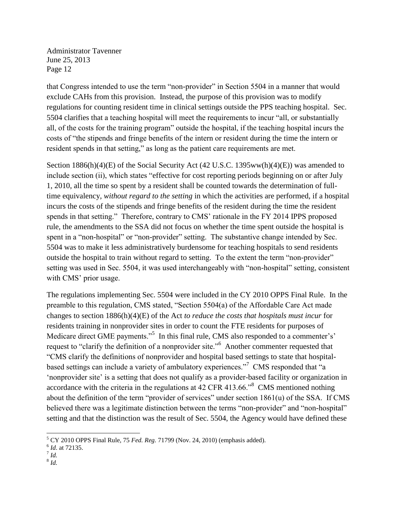that Congress intended to use the term "non-provider" in Section 5504 in a manner that would exclude CAHs from this provision. Instead, the purpose of this provision was to modify regulations for counting resident time in clinical settings outside the PPS teaching hospital. Sec. 5504 clarifies that a teaching hospital will meet the requirements to incur "all, or substantially all, of the costs for the training program" outside the hospital, if the teaching hospital incurs the costs of "the stipends and fringe benefits of the intern or resident during the time the intern or resident spends in that setting," as long as the patient care requirements are met.

Section 1886(h)(4)(E) of the Social Security Act (42 U.S.C. 1395ww(h)(4)(E)) was amended to include section (ii), which states "effective for cost reporting periods beginning on or after July 1, 2010, all the time so spent by a resident shall be counted towards the determination of fulltime equivalency*, without regard to the setting* in which the activities are performed, if a hospital incurs the costs of the stipends and fringe benefits of the resident during the time the resident spends in that setting." Therefore, contrary to CMS' rationale in the FY 2014 IPPS proposed rule, the amendments to the SSA did not focus on whether the time spent outside the hospital is spent in a "non-hospital" or "non-provider" setting. The substantive change intended by Sec. 5504 was to make it less administratively burdensome for teaching hospitals to send residents outside the hospital to train without regard to setting. To the extent the term "non-provider" setting was used in Sec. 5504, it was used interchangeably with "non-hospital" setting, consistent with CMS' prior usage.

The regulations implementing Sec. 5504 were included in the CY 2010 OPPS Final Rule. In the preamble to this regulation, CMS stated, "Section 5504(a) of the Affordable Care Act made changes to section 1886(h)(4)(E) of the Act *to reduce the costs that hospitals must incur* for residents training in nonprovider sites in order to count the FTE residents for purposes of Medicare direct GME payments."<sup>5</sup> In this final rule, CMS also responded to a commenter's' request to "clarify the definition of a nonprovider site."<sup>6</sup> Another commenter requested that "CMS clarify the definitions of nonprovider and hospital based settings to state that hospitalbased settings can include a variety of ambulatory experiences."<sup>7</sup> CMS responded that "a 'nonprovider site' is a setting that does not qualify as a provider-based facility or organization in accordance with the criteria in the regulations at 42 CFR 413.66.<sup> $\cdot$ 8</sup> CMS mentioned nothing about the definition of the term "provider of services" under section 1861(u) of the SSA. If CMS believed there was a legitimate distinction between the terms "non-provider" and "non-hospital" setting and that the distinction was the result of Sec. 5504, the Agency would have defined these

 $\overline{\phantom{a}}$ 

<sup>5</sup> CY 2010 OPPS Final Rule, 75 *Fed. Reg.* 71799 (Nov. 24, 2010) (emphasis added).

<sup>6</sup> *Id*. at 72135. 7 *Id.*

<sup>8</sup> *Id.*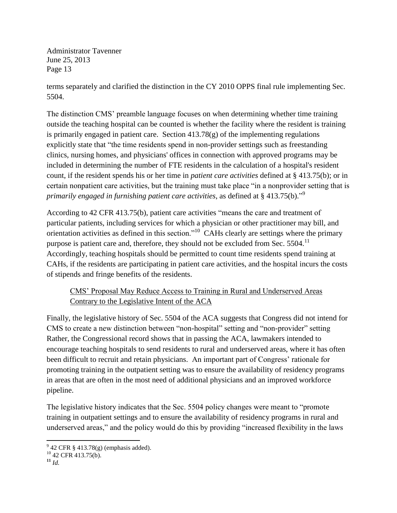terms separately and clarified the distinction in the CY 2010 OPPS final rule implementing Sec. 5504.

The distinction CMS' preamble language focuses on when determining whether time training outside the teaching hospital can be counted is whether the facility where the resident is training is primarily engaged in patient care. Section  $413.78(g)$  of the implementing regulations explicitly state that "the time residents spend in non-provider settings such as freestanding clinics, nursing homes, and physicians' offices in connection with approved programs may be included in determining the number of FTE residents in the calculation of a hospital's resident count, if the resident spends his or her time in *patient care activities* defined at § 413.75(b); or in certain nonpatient care activities, but the training must take place "in a nonprovider setting that is *primarily engaged in furnishing patient care activities*, as defined at § 413.75(b)." 9

According to 42 CFR 413.75(b), patient care activities "means the care and treatment of particular patients, including services for which a physician or other practitioner may bill, and orientation activities as defined in this section.<sup> $10$ </sup> CAHs clearly are settings where the primary purpose is patient care and, therefore, they should not be excluded from Sec.  $5504$ <sup>11</sup> Accordingly, teaching hospitals should be permitted to count time residents spend training at CAHs, if the residents are participating in patient care activities, and the hospital incurs the costs of stipends and fringe benefits of the residents.

# CMS' Proposal May Reduce Access to Training in Rural and Underserved Areas Contrary to the Legislative Intent of the ACA

Finally, the legislative history of Sec. 5504 of the ACA suggests that Congress did not intend for CMS to create a new distinction between "non-hospital" setting and "non-provider" setting Rather, the Congressional record shows that in passing the ACA, lawmakers intended to encourage teaching hospitals to send residents to rural and underserved areas, where it has often been difficult to recruit and retain physicians. An important part of Congress' rationale for promoting training in the outpatient setting was to ensure the availability of residency programs in areas that are often in the most need of additional physicians and an improved workforce pipeline.

The legislative history indicates that the Sec. 5504 policy changes were meant to "promote training in outpatient settings and to ensure the availability of residency programs in rural and underserved areas," and the policy would do this by providing "increased flexibility in the laws

 $\overline{\phantom{a}}$  $9^9$  42 CFR § 413.78(g) (emphasis added).

 $10$  42 CFR 413.75(b).

 $11 \, \text{Id}$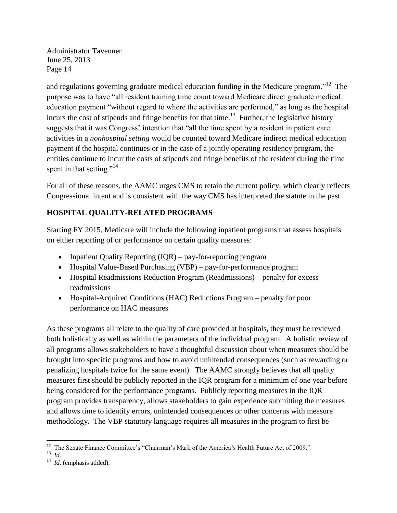and regulations governing graduate medical education funding in the Medicare program."<sup>12</sup> The purpose was to have "all resident training time count toward Medicare direct graduate medical education payment "without regard to where the activities are performed," as long as the hospital incurs the cost of stipends and fringe benefits for that time.<sup>13</sup> Further, the legislative history suggests that it was Congress' intention that "all the time spent by a resident in patient care activities in a *nonhospital setting* would be counted toward Medicare indirect medical education payment if the hospital continues or in the case of a jointly operating residency program, the entities continue to incur the costs of stipends and fringe benefits of the resident during the time spent in that setting."<sup>14</sup>

For all of these reasons, the AAMC urges CMS to retain the current policy, which clearly reflects Congressional intent and is consistent with the way CMS has interpreted the statute in the past.

# **HOSPITAL QUALITY-RELATED PROGRAMS**

Starting FY 2015, Medicare will include the following inpatient programs that assess hospitals on either reporting of or performance on certain quality measures:

- Inpatient Quality Reporting  $(IOR)$  pay-for-reporting program
- Hospital Value-Based Purchasing (VBP) pay-for-performance program
- Hospital Readmissions Reduction Program (Readmissions) penalty for excess readmissions
- Hospital-Acquired Conditions (HAC) Reductions Program penalty for poor performance on HAC measures

As these programs all relate to the quality of care provided at hospitals, they must be reviewed both holistically as well as within the parameters of the individual program. A holistic review of all programs allows stakeholders to have a thoughtful discussion about when measures should be brought into specific programs and how to avoid unintended consequences (such as rewarding or penalizing hospitals twice for the same event). The AAMC strongly believes that all quality measures first should be publicly reported in the IQR program for a minimum of one year before being considered for the performance programs. Publicly reporting measures in the IQR program provides transparency, allows stakeholders to gain experience submitting the measures and allows time to identify errors, unintended consequences or other concerns with measure methodology. The VBP statutory language requires all measures in the program to first be

<sup>&</sup>lt;sup>12</sup> The Senate Finance Committee's "Chairman's Mark of the America's Health Future Act of 2009."

<sup>13</sup> *Id*.

<sup>&</sup>lt;sup>14</sup> *Id.* (emphasis added).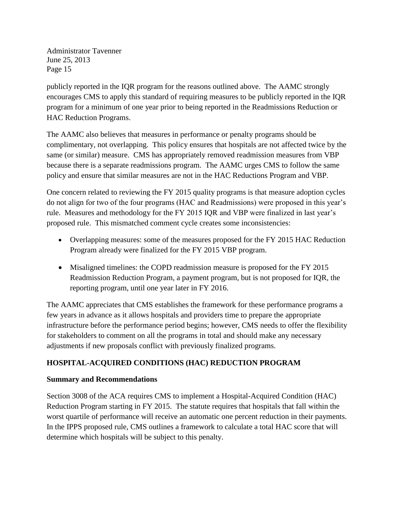publicly reported in the IQR program for the reasons outlined above. The AAMC strongly encourages CMS to apply this standard of requiring measures to be publicly reported in the IQR program for a minimum of one year prior to being reported in the Readmissions Reduction or HAC Reduction Programs.

The AAMC also believes that measures in performance or penalty programs should be complimentary, not overlapping. This policy ensures that hospitals are not affected twice by the same (or similar) measure. CMS has appropriately removed readmission measures from VBP because there is a separate readmissions program. The AAMC urges CMS to follow the same policy and ensure that similar measures are not in the HAC Reductions Program and VBP.

One concern related to reviewing the FY 2015 quality programs is that measure adoption cycles do not align for two of the four programs (HAC and Readmissions) were proposed in this year's rule. Measures and methodology for the FY 2015 IQR and VBP were finalized in last year's proposed rule. This mismatched comment cycle creates some inconsistencies:

- Overlapping measures: some of the measures proposed for the FY 2015 HAC Reduction Program already were finalized for the FY 2015 VBP program.
- Misaligned timelines: the COPD readmission measure is proposed for the FY 2015 Readmission Reduction Program, a payment program, but is not proposed for IQR, the reporting program, until one year later in FY 2016.

The AAMC appreciates that CMS establishes the framework for these performance programs a few years in advance as it allows hospitals and providers time to prepare the appropriate infrastructure before the performance period begins; however, CMS needs to offer the flexibility for stakeholders to comment on all the programs in total and should make any necessary adjustments if new proposals conflict with previously finalized programs.

# **HOSPITAL-ACQUIRED CONDITIONS (HAC) REDUCTION PROGRAM**

## **Summary and Recommendations**

Section 3008 of the ACA requires CMS to implement a Hospital-Acquired Condition (HAC) Reduction Program starting in FY 2015. The statute requires that hospitals that fall within the worst quartile of performance will receive an automatic one percent reduction in their payments. In the IPPS proposed rule, CMS outlines a framework to calculate a total HAC score that will determine which hospitals will be subject to this penalty.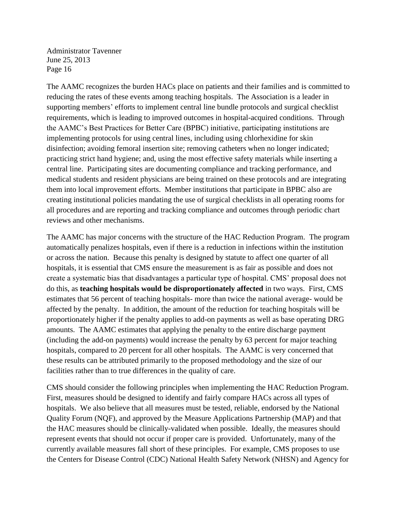The AAMC recognizes the burden HACs place on patients and their families and is committed to reducing the rates of these events among teaching hospitals. The Association is a leader in supporting members' efforts to implement central line bundle protocols and surgical checklist requirements, which is leading to improved outcomes in hospital-acquired conditions. Through the AAMC's Best Practices for Better Care (BPBC) initiative, participating institutions are implementing protocols for using central lines, including using chlorhexidine for skin disinfection; avoiding femoral insertion site; removing catheters when no longer indicated; practicing strict hand hygiene; and, using the most effective safety materials while inserting a central line. Participating sites are documenting compliance and tracking performance, and medical students and resident physicians are being trained on these protocols and are integrating them into local improvement efforts. Member institutions that participate in BPBC also are creating institutional policies mandating the use of surgical checklists in all operating rooms for all procedures and are reporting and tracking compliance and outcomes through periodic chart reviews and other mechanisms.

The AAMC has major concerns with the structure of the HAC Reduction Program. The program automatically penalizes hospitals, even if there is a reduction in infections within the institution or across the nation. Because this penalty is designed by statute to affect one quarter of all hospitals, it is essential that CMS ensure the measurement is as fair as possible and does not create a systematic bias that disadvantages a particular type of hospital. CMS' proposal does not do this, as **teaching hospitals would be disproportionately affected** in two ways. First, CMS estimates that 56 percent of teaching hospitals- more than twice the national average- would be affected by the penalty. In addition, the amount of the reduction for teaching hospitals will be proportionately higher if the penalty applies to add-on payments as well as base operating DRG amounts. The AAMC estimates that applying the penalty to the entire discharge payment (including the add-on payments) would increase the penalty by 63 percent for major teaching hospitals, compared to 20 percent for all other hospitals. The AAMC is very concerned that these results can be attributed primarily to the proposed methodology and the size of our facilities rather than to true differences in the quality of care.

CMS should consider the following principles when implementing the HAC Reduction Program. First, measures should be designed to identify and fairly compare HACs across all types of hospitals. We also believe that all measures must be tested, reliable, endorsed by the National Quality Forum (NQF), and approved by the Measure Applications Partnership (MAP) and that the HAC measures should be clinically-validated when possible. Ideally, the measures should represent events that should not occur if proper care is provided. Unfortunately, many of the currently available measures fall short of these principles. For example, CMS proposes to use the Centers for Disease Control (CDC) National Health Safety Network (NHSN) and Agency for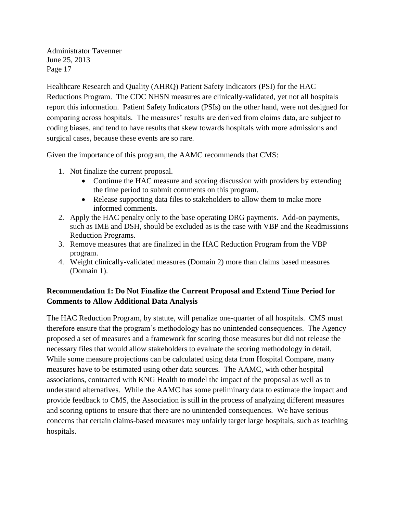Healthcare Research and Quality (AHRQ) Patient Safety Indicators (PSI) for the HAC Reductions Program. The CDC NHSN measures are clinically-validated, yet not all hospitals report this information. Patient Safety Indicators (PSIs) on the other hand, were not designed for comparing across hospitals. The measures' results are derived from claims data, are subject to coding biases, and tend to have results that skew towards hospitals with more admissions and surgical cases, because these events are so rare.

Given the importance of this program, the AAMC recommends that CMS:

- 1. Not finalize the current proposal.
	- Continue the HAC measure and scoring discussion with providers by extending the time period to submit comments on this program.
	- Release supporting data files to stakeholders to allow them to make more informed comments.
- 2. Apply the HAC penalty only to the base operating DRG payments. Add-on payments, such as IME and DSH, should be excluded as is the case with VBP and the Readmissions Reduction Programs.
- 3. Remove measures that are finalized in the HAC Reduction Program from the VBP program.
- 4. Weight clinically-validated measures (Domain 2) more than claims based measures (Domain 1).

## **Recommendation 1: Do Not Finalize the Current Proposal and Extend Time Period for Comments to Allow Additional Data Analysis**

The HAC Reduction Program, by statute, will penalize one-quarter of all hospitals. CMS must therefore ensure that the program's methodology has no unintended consequences. The Agency proposed a set of measures and a framework for scoring those measures but did not release the necessary files that would allow stakeholders to evaluate the scoring methodology in detail. While some measure projections can be calculated using data from Hospital Compare, many measures have to be estimated using other data sources. The AAMC, with other hospital associations, contracted with KNG Health to model the impact of the proposal as well as to understand alternatives. While the AAMC has some preliminary data to estimate the impact and provide feedback to CMS, the Association is still in the process of analyzing different measures and scoring options to ensure that there are no unintended consequences. We have serious concerns that certain claims-based measures may unfairly target large hospitals, such as teaching hospitals.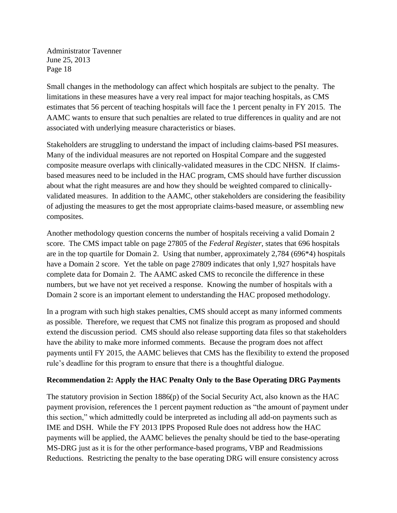Small changes in the methodology can affect which hospitals are subject to the penalty. The limitations in these measures have a very real impact for major teaching hospitals, as CMS estimates that 56 percent of teaching hospitals will face the 1 percent penalty in FY 2015. The AAMC wants to ensure that such penalties are related to true differences in quality and are not associated with underlying measure characteristics or biases.

Stakeholders are struggling to understand the impact of including claims-based PSI measures. Many of the individual measures are not reported on Hospital Compare and the suggested composite measure overlaps with clinically-validated measures in the CDC NHSN. If claimsbased measures need to be included in the HAC program, CMS should have further discussion about what the right measures are and how they should be weighted compared to clinicallyvalidated measures. In addition to the AAMC, other stakeholders are considering the feasibility of adjusting the measures to get the most appropriate claims-based measure, or assembling new composites.

Another methodology question concerns the number of hospitals receiving a valid Domain 2 score. The CMS impact table on page 27805 of the *Federal Register*, states that 696 hospitals are in the top quartile for Domain 2. Using that number, approximately 2,784 (696\*4) hospitals have a Domain 2 score. Yet the table on page 27809 indicates that only 1,927 hospitals have complete data for Domain 2. The AAMC asked CMS to reconcile the difference in these numbers, but we have not yet received a response. Knowing the number of hospitals with a Domain 2 score is an important element to understanding the HAC proposed methodology.

In a program with such high stakes penalties, CMS should accept as many informed comments as possible. Therefore, we request that CMS not finalize this program as proposed and should extend the discussion period. CMS should also release supporting data files so that stakeholders have the ability to make more informed comments. Because the program does not affect payments until FY 2015, the AAMC believes that CMS has the flexibility to extend the proposed rule's deadline for this program to ensure that there is a thoughtful dialogue.

## **Recommendation 2: Apply the HAC Penalty Only to the Base Operating DRG Payments**

The statutory provision in Section 1886(p) of the Social Security Act, also known as the HAC payment provision, references the 1 percent payment reduction as "the amount of payment under this section," which admittedly could be interpreted as including all add-on payments such as IME and DSH. While the FY 2013 IPPS Proposed Rule does not address how the HAC payments will be applied, the AAMC believes the penalty should be tied to the base-operating MS-DRG just as it is for the other performance-based programs, VBP and Readmissions Reductions. Restricting the penalty to the base operating DRG will ensure consistency across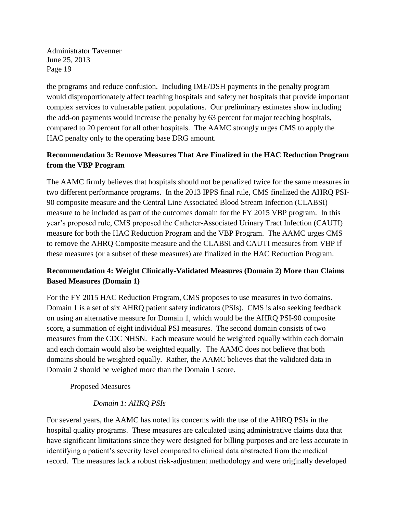the programs and reduce confusion. Including IME/DSH payments in the penalty program would disproportionately affect teaching hospitals and safety net hospitals that provide important complex services to vulnerable patient populations. Our preliminary estimates show including the add-on payments would increase the penalty by 63 percent for major teaching hospitals, compared to 20 percent for all other hospitals. The AAMC strongly urges CMS to apply the HAC penalty only to the operating base DRG amount.

# **Recommendation 3: Remove Measures That Are Finalized in the HAC Reduction Program from the VBP Program**

The AAMC firmly believes that hospitals should not be penalized twice for the same measures in two different performance programs. In the 2013 IPPS final rule, CMS finalized the AHRQ PSI-90 composite measure and the Central Line Associated Blood Stream Infection (CLABSI) measure to be included as part of the outcomes domain for the FY 2015 VBP program. In this year's proposed rule, CMS proposed the Catheter-Associated Urinary Tract Infection (CAUTI) measure for both the HAC Reduction Program and the VBP Program. The AAMC urges CMS to remove the AHRQ Composite measure and the CLABSI and CAUTI measures from VBP if these measures (or a subset of these measures) are finalized in the HAC Reduction Program.

## **Recommendation 4: Weight Clinically-Validated Measures (Domain 2) More than Claims Based Measures (Domain 1)**

For the FY 2015 HAC Reduction Program, CMS proposes to use measures in two domains. Domain 1 is a set of six AHRQ patient safety indicators (PSIs). CMS is also seeking feedback on using an alternative measure for Domain 1, which would be the AHRQ PSI-90 composite score, a summation of eight individual PSI measures. The second domain consists of two measures from the CDC NHSN. Each measure would be weighted equally within each domain and each domain would also be weighted equally. The AAMC does not believe that both domains should be weighted equally. Rather, the AAMC believes that the validated data in Domain 2 should be weighed more than the Domain 1 score.

## Proposed Measures

## *Domain 1: AHRQ PSIs*

For several years, the AAMC has noted its concerns with the use of the AHRQ PSIs in the hospital quality programs. These measures are calculated using administrative claims data that have significant limitations since they were designed for billing purposes and are less accurate in identifying a patient's severity level compared to clinical data abstracted from the medical record. The measures lack a robust risk-adjustment methodology and were originally developed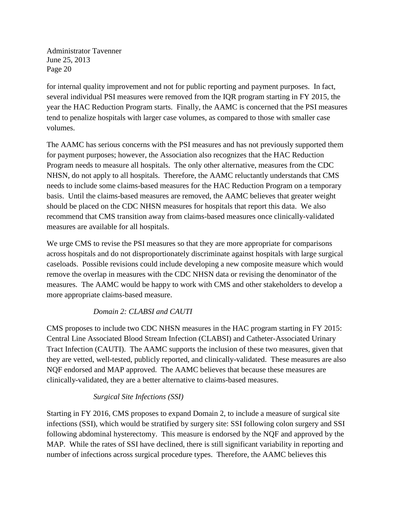for internal quality improvement and not for public reporting and payment purposes. In fact, several individual PSI measures were removed from the IQR program starting in FY 2015, the year the HAC Reduction Program starts. Finally, the AAMC is concerned that the PSI measures tend to penalize hospitals with larger case volumes, as compared to those with smaller case volumes.

The AAMC has serious concerns with the PSI measures and has not previously supported them for payment purposes; however, the Association also recognizes that the HAC Reduction Program needs to measure all hospitals. The only other alternative, measures from the CDC NHSN, do not apply to all hospitals. Therefore, the AAMC reluctantly understands that CMS needs to include some claims-based measures for the HAC Reduction Program on a temporary basis. Until the claims-based measures are removed, the AAMC believes that greater weight should be placed on the CDC NHSN measures for hospitals that report this data. We also recommend that CMS transition away from claims-based measures once clinically-validated measures are available for all hospitals.

We urge CMS to revise the PSI measures so that they are more appropriate for comparisons across hospitals and do not disproportionately discriminate against hospitals with large surgical caseloads. Possible revisions could include developing a new composite measure which would remove the overlap in measures with the CDC NHSN data or revising the denominator of the measures. The AAMC would be happy to work with CMS and other stakeholders to develop a more appropriate claims-based measure.

## *Domain 2: CLABSI and CAUTI*

CMS proposes to include two CDC NHSN measures in the HAC program starting in FY 2015: Central Line Associated Blood Stream Infection (CLABSI) and Catheter-Associated Urinary Tract Infection (CAUTI). The AAMC supports the inclusion of these two measures, given that they are vetted, well-tested, publicly reported, and clinically-validated. These measures are also NQF endorsed and MAP approved. The AAMC believes that because these measures are clinically-validated, they are a better alternative to claims-based measures.

## *Surgical Site Infections (SSI)*

Starting in FY 2016, CMS proposes to expand Domain 2, to include a measure of surgical site infections (SSI), which would be stratified by surgery site: SSI following colon surgery and SSI following abdominal hysterectomy. This measure is endorsed by the NQF and approved by the MAP. While the rates of SSI have declined, there is still significant variability in reporting and number of infections across surgical procedure types. Therefore, the AAMC believes this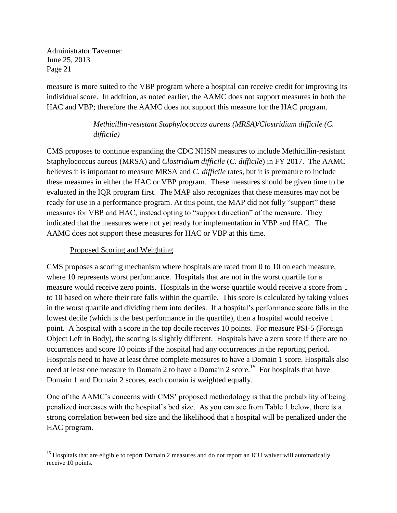measure is more suited to the VBP program where a hospital can receive credit for improving its individual score. In addition, as noted earlier, the AAMC does not support measures in both the HAC and VBP; therefore the AAMC does not support this measure for the HAC program.

# *Methicillin-resistant Staphylococcus aureus (MRSA)/Clostridium difficile (C. difficile)*

CMS proposes to continue expanding the CDC NHSN measures to include Methicillin-resistant Staphylococcus aureus (MRSA) and *Clostridium difficile* (*C. difficile*) in FY 2017. The AAMC believes it is important to measure MRSA and *C. difficile* rates, but it is premature to include these measures in either the HAC or VBP program. These measures should be given time to be evaluated in the IQR program first. The MAP also recognizes that these measures may not be ready for use in a performance program. At this point, the MAP did not fully "support" these measures for VBP and HAC, instead opting to "support direction" of the measure. They indicated that the measures were not yet ready for implementation in VBP and HAC. The AAMC does not support these measures for HAC or VBP at this time.

## Proposed Scoring and Weighting

CMS proposes a scoring mechanism where hospitals are rated from 0 to 10 on each measure, where 10 represents worst performance. Hospitals that are not in the worst quartile for a measure would receive zero points. Hospitals in the worse quartile would receive a score from 1 to 10 based on where their rate falls within the quartile. This score is calculated by taking values in the worst quartile and dividing them into deciles. If a hospital's performance score falls in the lowest decile (which is the best performance in the quartile), then a hospital would receive 1 point. A hospital with a score in the top decile receives 10 points. For measure PSI-5 (Foreign Object Left in Body), the scoring is slightly different. Hospitals have a zero score if there are no occurrences and score 10 points if the hospital had any occurrences in the reporting period. Hospitals need to have at least three complete measures to have a Domain 1 score. Hospitals also need at least one measure in Domain 2 to have a Domain 2 score.<sup>15</sup> For hospitals that have Domain 1 and Domain 2 scores, each domain is weighted equally.

One of the AAMC's concerns with CMS' proposed methodology is that the probability of being penalized increases with the hospital's bed size. As you can see from Table 1 below, there is a strong correlation between bed size and the likelihood that a hospital will be penalized under the HAC program.

 $\overline{\phantom{a}}$ <sup>15</sup> Hospitals that are eligible to report Domain 2 measures and do not report an ICU waiver will automatically receive 10 points.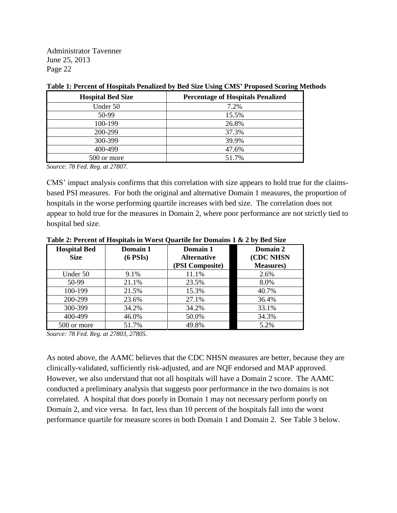| <b>Hospital Bed Size</b> | <b>Percentage of Hospitals Penalized</b> |
|--------------------------|------------------------------------------|
| Under 50                 | 7.2%                                     |
| 50-99                    | 15.5%                                    |
| 100-199                  | 26.8%                                    |
| 200-299                  | 37.3%                                    |
| 300-399                  | 39.9%                                    |
| 400-499                  | 47.6%                                    |
| 500 or more              | 51.7%                                    |

#### **Table 1: Percent of Hospitals Penalized by Bed Size Using CMS' Proposed Scoring Methods**

*Source: 78 Fed. Reg. at 27807.*

CMS' impact analysis confirms that this correlation with size appears to hold true for the claimsbased PSI measures. For both the original and alternative Domain 1 measures, the proportion of hospitals in the worse performing quartile increases with bed size. The correlation does not appear to hold true for the measures in Domain 2, where poor performance are not strictly tied to hospital bed size.

| <b>Hospital Bed</b><br><b>Size</b> | Domain 1<br>$(6$ PSI <sub>s</sub> $)$ | Domain 1<br><b>Alternative</b> | Domain 2<br>(CDC NHSN |
|------------------------------------|---------------------------------------|--------------------------------|-----------------------|
|                                    |                                       | (PSI Composite)                | <b>Measures</b> )     |
| Under 50                           | 9.1%                                  | 11.1%                          | 2.6%                  |
| 50-99                              | 21.1%                                 | 23.5%                          | 8.0%                  |
| 100-199                            | 21.5%                                 | 15.3%                          | 40.7%                 |
| 200-299                            | 23.6%                                 | 27.1%                          | 36.4%                 |
| 300-399                            | 34.2%                                 | 34.2%                          | 33.1%                 |
| 400-499                            | 46.0%                                 | 50.0%                          | 34.3%                 |
| 500 or more                        | 51.7%                                 | 49.8%                          | 5.2%                  |

**Table 2: Percent of Hospitals in Worst Quartile for Domains 1 & 2 by Bed Size**

*Source: 78 Fed. Reg. at 27803, 27805.*

As noted above, the AAMC believes that the CDC NHSN measures are better, because they are clinically-validated, sufficiently risk-adjusted, and are NQF endorsed and MAP approved. However, we also understand that not all hospitals will have a Domain 2 score. The AAMC conducted a preliminary analysis that suggests poor performance in the two domains is not correlated. A hospital that does poorly in Domain 1 may not necessary perform poorly on Domain 2, and vice versa. In fact, less than 10 percent of the hospitals fall into the worst performance quartile for measure scores in both Domain 1 and Domain 2. See Table 3 below.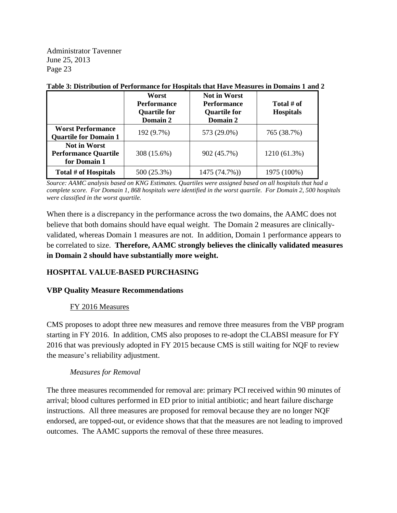|                                                                    | Worst<br><b>Performance</b><br><b>Quartile for</b><br>Domain 2 | <b>Not in Worst</b><br><b>Performance</b><br><b>Quartile for</b><br>Domain 2 | Total # of<br><b>Hospitals</b> |
|--------------------------------------------------------------------|----------------------------------------------------------------|------------------------------------------------------------------------------|--------------------------------|
| <b>Worst Performance</b><br><b>Quartile for Domain 1</b>           | 192 (9.7%)                                                     | 573 (29.0%)                                                                  | 765 (38.7%)                    |
| <b>Not in Worst</b><br><b>Performance Quartile</b><br>for Domain 1 | 308 (15.6%)                                                    | 902 (45.7%)                                                                  | 1210 (61.3%)                   |
| Total # of Hospitals                                               | 500 (25.3%)                                                    | 1475 (74.7%))                                                                | 1975 (100%)                    |

#### **Table 3: Distribution of Performance for Hospitals that Have Measures in Domains 1 and 2**

*Source: AAMC analysis based on KNG Estimates. Quartiles were assigned based on all hospitals that had a complete score. For Domain 1, 868 hospitals were identified in the worst quartile. For Domain 2, 500 hospitals were classified in the worst quartile.*

When there is a discrepancy in the performance across the two domains, the AAMC does not believe that both domains should have equal weight. The Domain 2 measures are clinicallyvalidated, whereas Domain 1 measures are not. In addition, Domain 1 performance appears to be correlated to size. **Therefore, AAMC strongly believes the clinically validated measures in Domain 2 should have substantially more weight.**

## **HOSPITAL VALUE-BASED PURCHASING**

## **VBP Quality Measure Recommendations**

## FY 2016 Measures

CMS proposes to adopt three new measures and remove three measures from the VBP program starting in FY 2016. In addition, CMS also proposes to re-adopt the CLABSI measure for FY 2016 that was previously adopted in FY 2015 because CMS is still waiting for NQF to review the measure's reliability adjustment.

## *Measures for Removal*

The three measures recommended for removal are: primary PCI received within 90 minutes of arrival; blood cultures performed in ED prior to initial antibiotic; and heart failure discharge instructions. All three measures are proposed for removal because they are no longer NQF endorsed, are topped-out, or evidence shows that that the measures are not leading to improved outcomes. The AAMC supports the removal of these three measures.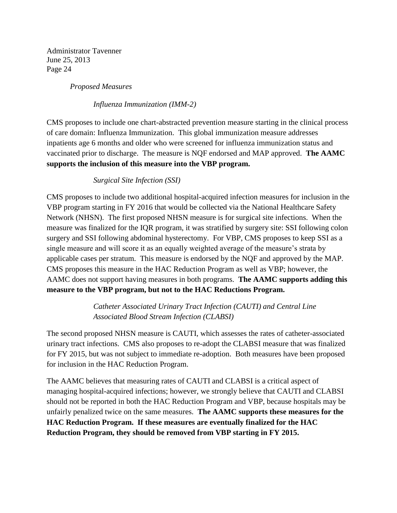*Proposed Measures*

*Influenza Immunization (IMM-2)*

CMS proposes to include one chart-abstracted prevention measure starting in the clinical process of care domain: Influenza Immunization. This global immunization measure addresses inpatients age 6 months and older who were screened for influenza immunization status and vaccinated prior to discharge. The measure is NQF endorsed and MAP approved. **The AAMC supports the inclusion of this measure into the VBP program.** 

*Surgical Site Infection (SSI)* 

CMS proposes to include two additional hospital-acquired infection measures for inclusion in the VBP program starting in FY 2016 that would be collected via the National Healthcare Safety Network (NHSN). The first proposed NHSN measure is for surgical site infections. When the measure was finalized for the IQR program, it was stratified by surgery site: SSI following colon surgery and SSI following abdominal hysterectomy. For VBP, CMS proposes to keep SSI as a single measure and will score it as an equally weighted average of the measure's strata by applicable cases per stratum. This measure is endorsed by the NQF and approved by the MAP. CMS proposes this measure in the HAC Reduction Program as well as VBP; however, the AAMC does not support having measures in both programs. **The AAMC supports adding this measure to the VBP program, but not to the HAC Reductions Program.**

> *Catheter Associated Urinary Tract Infection (CAUTI) and Central Line Associated Blood Stream Infection (CLABSI)*

The second proposed NHSN measure is CAUTI, which assesses the rates of catheter-associated urinary tract infections. CMS also proposes to re-adopt the CLABSI measure that was finalized for FY 2015, but was not subject to immediate re-adoption. Both measures have been proposed for inclusion in the HAC Reduction Program.

The AAMC believes that measuring rates of CAUTI and CLABSI is a critical aspect of managing hospital-acquired infections; however, we strongly believe that CAUTI and CLABSI should not be reported in both the HAC Reduction Program and VBP, because hospitals may be unfairly penalized twice on the same measures. **The AAMC supports these measures for the HAC Reduction Program. If these measures are eventually finalized for the HAC Reduction Program, they should be removed from VBP starting in FY 2015.**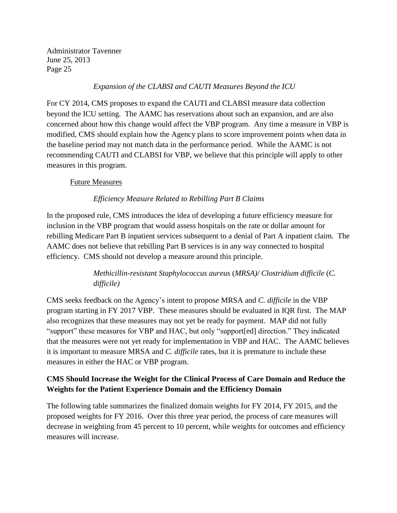### *Expansion of the CLABSI and CAUTI Measures Beyond the ICU*

For CY 2014, CMS proposes to expand the CAUTI and CLABSI measure data collection beyond the ICU setting. The AAMC has reservations about such an expansion, and are also concerned about how this change would affect the VBP program. Any time a measure in VBP is modified, CMS should explain how the Agency plans to score improvement points when data in the baseline period may not match data in the performance period. While the AAMC is not recommending CAUTI and CLABSI for VBP, we believe that this principle will apply to other measures in this program.

### Future Measures

## *Efficiency Measure Related to Rebilling Part B Claims*

In the proposed rule, CMS introduces the idea of developing a future efficiency measure for inclusion in the VBP program that would assess hospitals on the rate or dollar amount for rebilling Medicare Part B inpatient services subsequent to a denial of Part A inpatient claim. The AAMC does not believe that rebilling Part B services is in any way connected to hospital efficiency. CMS should not develop a measure around this principle.

# *Methicillin-resistant Staphylococcus aureus* (*MRSA)/ Clostridium difficile* (*C. difficile)*

CMS seeks feedback on the Agency's intent to propos*e* MRSA and *C. difficile* in the VBP program starting in FY 2017 VBP. These measures should be evaluated in IQR first. The MAP also recognizes that these measures may not yet be ready for payment. MAP did not fully "support" these measures for VBP and HAC, but only "support[ed] direction." They indicated that the measures were not yet ready for implementation in VBP and HAC. The AAMC believes it is important to measure MRSA and *C. difficile* rates, but it is premature to include these measures in either the HAC or VBP program.

## **CMS Should Increase the Weight for the Clinical Process of Care Domain and Reduce the Weights for the Patient Experience Domain and the Efficiency Domain**

The following table summarizes the finalized domain weights for FY 2014, FY 2015, and the proposed weights for FY 2016. Over this three year period, the process of care measures will decrease in weighting from 45 percent to 10 percent, while weights for outcomes and efficiency measures will increase.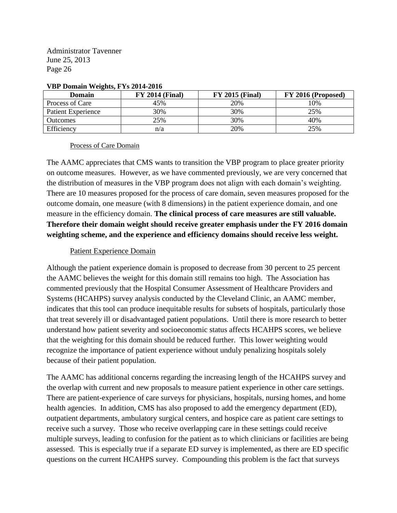| Domain             | <b>FY 2014 (Final)</b> | <b>FY 2015 (Final)</b> | FY 2016 (Proposed) |
|--------------------|------------------------|------------------------|--------------------|
| Process of Care    | 45%                    | 20%                    | 10%                |
| Patient Experience | 30%                    | 30%                    | 25%                |
| Outcomes           | 25%                    | 30%                    | 40%                |
| Efficiency         | n/a                    | 20%                    | 25%                |

#### **VBP Domain Weights, FYs 2014-2016**

#### Process of Care Domain

The AAMC appreciates that CMS wants to transition the VBP program to place greater priority on outcome measures. However, as we have commented previously, we are very concerned that the distribution of measures in the VBP program does not align with each domain's weighting. There are 10 measures proposed for the process of care domain, seven measures proposed for the outcome domain, one measure (with 8 dimensions) in the patient experience domain, and one measure in the efficiency domain. **The clinical process of care measures are still valuable. Therefore their domain weight should receive greater emphasis under the FY 2016 domain weighting scheme, and the experience and efficiency domains should receive less weight.**

## Patient Experience Domain

Although the patient experience domain is proposed to decrease from 30 percent to 25 percent the AAMC believes the weight for this domain still remains too high. The Association has commented previously that the Hospital Consumer Assessment of Healthcare Providers and Systems (HCAHPS) survey analysis conducted by the Cleveland Clinic, an AAMC member, indicates that this tool can produce inequitable results for subsets of hospitals, particularly those that treat severely ill or disadvantaged patient populations. Until there is more research to better understand how patient severity and socioeconomic status affects HCAHPS scores, we believe that the weighting for this domain should be reduced further. This lower weighting would recognize the importance of patient experience without unduly penalizing hospitals solely because of their patient population.

The AAMC has additional concerns regarding the increasing length of the HCAHPS survey and the overlap with current and new proposals to measure patient experience in other care settings. There are patient-experience of care surveys for physicians, hospitals, nursing homes, and home health agencies. In addition, CMS has also proposed to add the emergency department (ED), outpatient departments, ambulatory surgical centers, and hospice care as patient care settings to receive such a survey. Those who receive overlapping care in these settings could receive multiple surveys, leading to confusion for the patient as to which clinicians or facilities are being assessed. This is especially true if a separate ED survey is implemented, as there are ED specific questions on the current HCAHPS survey. Compounding this problem is the fact that surveys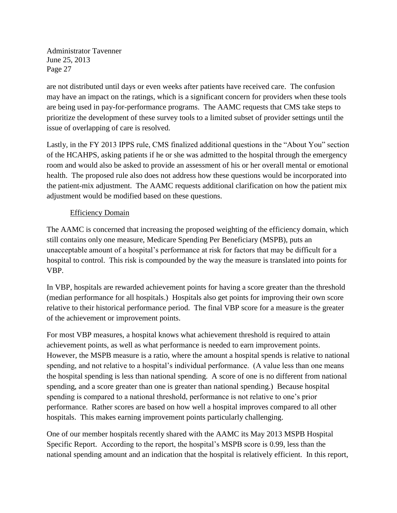are not distributed until days or even weeks after patients have received care. The confusion may have an impact on the ratings, which is a significant concern for providers when these tools are being used in pay-for-performance programs. The AAMC requests that CMS take steps to prioritize the development of these survey tools to a limited subset of provider settings until the issue of overlapping of care is resolved.

Lastly, in the FY 2013 IPPS rule, CMS finalized additional questions in the "About You" section of the HCAHPS, asking patients if he or she was admitted to the hospital through the emergency room and would also be asked to provide an assessment of his or her overall mental or emotional health. The proposed rule also does not address how these questions would be incorporated into the patient-mix adjustment. The AAMC requests additional clarification on how the patient mix adjustment would be modified based on these questions.

## Efficiency Domain

The AAMC is concerned that increasing the proposed weighting of the efficiency domain, which still contains only one measure, Medicare Spending Per Beneficiary (MSPB), puts an unacceptable amount of a hospital's performance at risk for factors that may be difficult for a hospital to control. This risk is compounded by the way the measure is translated into points for VBP.

In VBP, hospitals are rewarded achievement points for having a score greater than the threshold (median performance for all hospitals.) Hospitals also get points for improving their own score relative to their historical performance period. The final VBP score for a measure is the greater of the achievement or improvement points.

For most VBP measures, a hospital knows what achievement threshold is required to attain achievement points, as well as what performance is needed to earn improvement points. However, the MSPB measure is a ratio, where the amount a hospital spends is relative to national spending, and not relative to a hospital's individual performance. (A value less than one means the hospital spending is less than national spending. A score of one is no different from national spending, and a score greater than one is greater than national spending.) Because hospital spending is compared to a national threshold, performance is not relative to one's prior performance. Rather scores are based on how well a hospital improves compared to all other hospitals. This makes earning improvement points particularly challenging.

One of our member hospitals recently shared with the AAMC its May 2013 MSPB Hospital Specific Report. According to the report, the hospital's MSPB score is 0.99, less than the national spending amount and an indication that the hospital is relatively efficient. In this report,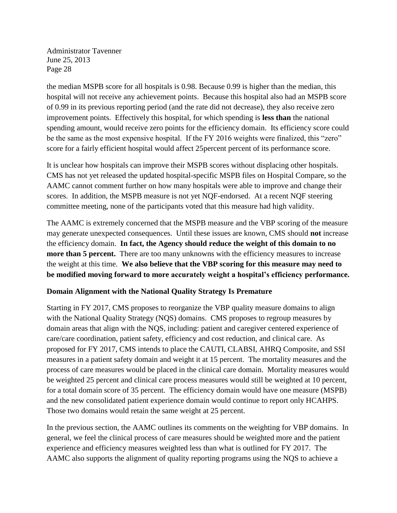the median MSPB score for all hospitals is 0.98. Because 0.99 is higher than the median, this hospital will not receive any achievement points. Because this hospital also had an MSPB score of 0.99 in its previous reporting period (and the rate did not decrease), they also receive zero improvement points. Effectively this hospital, for which spending is **less than** the national spending amount, would receive zero points for the efficiency domain. Its efficiency score could be the same as the most expensive hospital. If the FY 2016 weights were finalized, this "zero" score for a fairly efficient hospital would affect 25percent percent of its performance score.

It is unclear how hospitals can improve their MSPB scores without displacing other hospitals. CMS has not yet released the updated hospital-specific MSPB files on Hospital Compare, so the AAMC cannot comment further on how many hospitals were able to improve and change their scores. In addition, the MSPB measure is not yet NQF-endorsed. At a recent NQF steering committee meeting, none of the participants voted that this measure had high validity.

The AAMC is extremely concerned that the MSPB measure and the VBP scoring of the measure may generate unexpected consequences. Until these issues are known, CMS should **not** increase the efficiency domain. **In fact, the Agency should reduce the weight of this domain to no more than 5 percent.** There are too many unknowns with the efficiency measures to increase the weight at this time. **We also believe that the VBP scoring for this measure may need to be modified moving forward to more accurately weight a hospital's efficiency performance.**

## **Domain Alignment with the National Quality Strategy Is Premature**

Starting in FY 2017, CMS proposes to reorganize the VBP quality measure domains to align with the National Quality Strategy (NQS) domains. CMS proposes to regroup measures by domain areas that align with the NQS, including: patient and caregiver centered experience of care/care coordination, patient safety, efficiency and cost reduction, and clinical care. As proposed for FY 2017, CMS intends to place the CAUTI, CLABSI, AHRQ Composite, and SSI measures in a patient safety domain and weight it at 15 percent. The mortality measures and the process of care measures would be placed in the clinical care domain. Mortality measures would be weighted 25 percent and clinical care process measures would still be weighted at 10 percent, for a total domain score of 35 percent. The efficiency domain would have one measure (MSPB) and the new consolidated patient experience domain would continue to report only HCAHPS. Those two domains would retain the same weight at 25 percent.

In the previous section, the AAMC outlines its comments on the weighting for VBP domains. In general, we feel the clinical process of care measures should be weighted more and the patient experience and efficiency measures weighted less than what is outlined for FY 2017. The AAMC also supports the alignment of quality reporting programs using the NQS to achieve a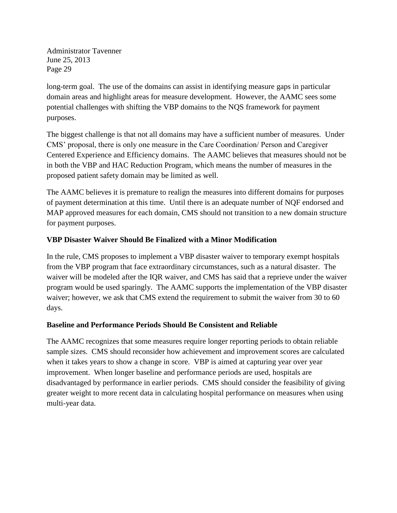long-term goal. The use of the domains can assist in identifying measure gaps in particular domain areas and highlight areas for measure development. However, the AAMC sees some potential challenges with shifting the VBP domains to the NQS framework for payment purposes.

The biggest challenge is that not all domains may have a sufficient number of measures. Under CMS' proposal, there is only one measure in the Care Coordination/ Person and Caregiver Centered Experience and Efficiency domains. The AAMC believes that measures should not be in both the VBP and HAC Reduction Program, which means the number of measures in the proposed patient safety domain may be limited as well.

The AAMC believes it is premature to realign the measures into different domains for purposes of payment determination at this time. Until there is an adequate number of NQF endorsed and MAP approved measures for each domain, CMS should not transition to a new domain structure for payment purposes.

## **VBP Disaster Waiver Should Be Finalized with a Minor Modification**

In the rule, CMS proposes to implement a VBP disaster waiver to temporary exempt hospitals from the VBP program that face extraordinary circumstances, such as a natural disaster. The waiver will be modeled after the IQR waiver, and CMS has said that a reprieve under the waiver program would be used sparingly. The AAMC supports the implementation of the VBP disaster waiver; however, we ask that CMS extend the requirement to submit the waiver from 30 to 60 days.

#### **Baseline and Performance Periods Should Be Consistent and Reliable**

The AAMC recognizes that some measures require longer reporting periods to obtain reliable sample sizes. CMS should reconsider how achievement and improvement scores are calculated when it takes years to show a change in score. VBP is aimed at capturing year over year improvement. When longer baseline and performance periods are used, hospitals are disadvantaged by performance in earlier periods. CMS should consider the feasibility of giving greater weight to more recent data in calculating hospital performance on measures when using multi-year data.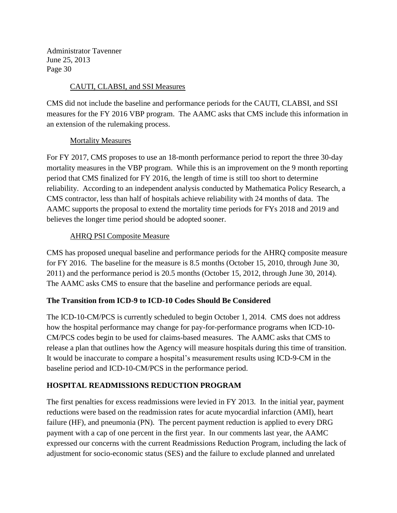## CAUTI, CLABSI, and SSI Measures

CMS did not include the baseline and performance periods for the CAUTI, CLABSI, and SSI measures for the FY 2016 VBP program. The AAMC asks that CMS include this information in an extension of the rulemaking process.

## Mortality Measures

For FY 2017, CMS proposes to use an 18-month performance period to report the three 30-day mortality measures in the VBP program. While this is an improvement on the 9 month reporting period that CMS finalized for FY 2016, the length of time is still too short to determine reliability. According to an independent analysis conducted by Mathematica Policy Research, a CMS contractor, less than half of hospitals achieve reliability with 24 months of data. The AAMC supports the proposal to extend the mortality time periods for FYs 2018 and 2019 and believes the longer time period should be adopted sooner.

## AHRQ PSI Composite Measure

CMS has proposed unequal baseline and performance periods for the AHRQ composite measure for FY 2016. The baseline for the measure is 8.5 months (October 15, 2010, through June 30, 2011) and the performance period is 20.5 months (October 15, 2012, through June 30, 2014). The AAMC asks CMS to ensure that the baseline and performance periods are equal.

## **The Transition from ICD-9 to ICD-10 Codes Should Be Considered**

The ICD-10-CM/PCS is currently scheduled to begin October 1, 2014. CMS does not address how the hospital performance may change for pay-for-performance programs when ICD-10- CM/PCS codes begin to be used for claims-based measures. The AAMC asks that CMS to release a plan that outlines how the Agency will measure hospitals during this time of transition. It would be inaccurate to compare a hospital's measurement results using ICD-9-CM in the baseline period and ICD-10-CM/PCS in the performance period.

## **HOSPITAL READMISSIONS REDUCTION PROGRAM**

The first penalties for excess readmissions were levied in FY 2013. In the initial year, payment reductions were based on the readmission rates for acute myocardial infarction (AMI), heart failure (HF), and pneumonia (PN). The percent payment reduction is applied to every DRG payment with a cap of one percent in the first year. In our comments last year, the AAMC expressed our concerns with the current Readmissions Reduction Program, including the lack of adjustment for socio-economic status (SES) and the failure to exclude planned and unrelated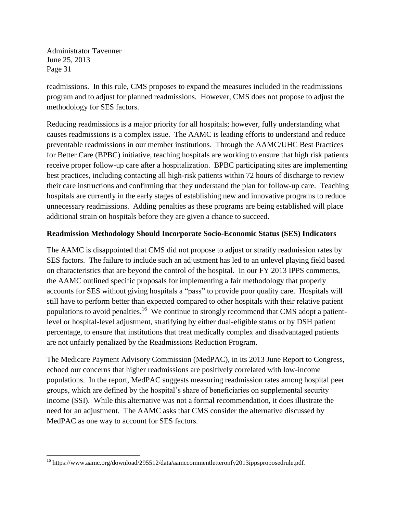readmissions. In this rule, CMS proposes to expand the measures included in the readmissions program and to adjust for planned readmissions. However, CMS does not propose to adjust the methodology for SES factors.

Reducing readmissions is a major priority for all hospitals; however, fully understanding what causes readmissions is a complex issue. The AAMC is leading efforts to understand and reduce preventable readmissions in our member institutions. Through the AAMC/UHC Best Practices for Better Care (BPBC) initiative, teaching hospitals are working to ensure that high risk patients receive proper follow-up care after a hospitalization. BPBC participating sites are implementing best practices, including contacting all high-risk patients within 72 hours of discharge to review their care instructions and confirming that they understand the plan for follow-up care. Teaching hospitals are currently in the early stages of establishing new and innovative programs to reduce unnecessary readmissions. Adding penalties as these programs are being established will place additional strain on hospitals before they are given a chance to succeed.

## **Readmission Methodology Should Incorporate Socio-Economic Status (SES) Indicators**

The AAMC is disappointed that CMS did not propose to adjust or stratify readmission rates by SES factors. The failure to include such an adjustment has led to an unlevel playing field based on characteristics that are beyond the control of the hospital. In our FY 2013 IPPS comments, the AAMC outlined specific proposals for implementing a fair methodology that properly accounts for SES without giving hospitals a "pass" to provide poor quality care. Hospitals will still have to perform better than expected compared to other hospitals with their relative patient populations to avoid penalties.<sup>16</sup> We continue to strongly recommend that CMS adopt a patientlevel or hospital-level adjustment, stratifying by either dual-eligible status or by DSH patient percentage, to ensure that institutions that treat medically complex and disadvantaged patients are not unfairly penalized by the Readmissions Reduction Program.

The Medicare Payment Advisory Commission (MedPAC), in its 2013 June Report to Congress, echoed our concerns that higher readmissions are positively correlated with low-income populations. In the report, MedPAC suggests measuring readmission rates among hospital peer groups, which are defined by the hospital's share of beneficiaries on supplemental security income (SSI). While this alternative was not a formal recommendation, it does illustrate the need for an adjustment. The AAMC asks that CMS consider the alternative discussed by MedPAC as one way to account for SES factors.

 $\overline{\phantom{a}}$ <sup>16</sup> https://www.aamc.org/download/295512/data/aamccommentletteronfy2013ippsproposedrule.pdf.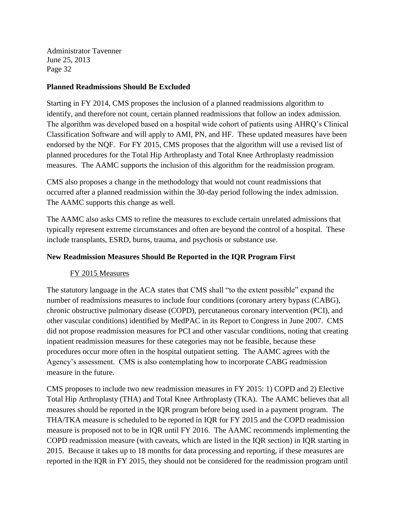### **Planned Readmissions Should Be Excluded**

Starting in FY 2014, CMS proposes the inclusion of a planned readmissions algorithm to identify, and therefore not count, certain planned readmissions that follow an index admission. The algorithm was developed based on a hospital wide cohort of patients using AHRQ's Clinical Classification Software and will apply to AMI, PN, and HF. These updated measures have been endorsed by the NQF. For FY 2015, CMS proposes that the algorithm will use a revised list of planned procedures for the Total Hip Arthroplasty and Total Knee Arthroplasty readmission measures. The AAMC supports the inclusion of this algorithm for the readmission program.

CMS also proposes a change in the methodology that would not count readmissions that occurred after a planned readmission within the 30-day period following the index admission. The AAMC supports this change as well.

The AAMC also asks CMS to refine the measures to exclude certain unrelated admissions that typically represent extreme circumstances and often are beyond the control of a hospital. These include transplants, ESRD, burns, trauma, and psychosis or substance use.

## **New Readmission Measures Should Be Reported in the IQR Program First**

## FY 2015 Measures

The statutory language in the ACA states that CMS shall "to the extent possible" expand the number of readmissions measures to include four conditions (coronary artery bypass (CABG), chronic obstructive pulmonary disease (COPD), percutaneous coronary intervention (PCI), and other vascular conditions) identified by MedPAC in its Report to Congress in June 2007. CMS did not propose readmission measures for PCI and other vascular conditions, noting that creating inpatient readmission measures for these categories may not be feasible, because these procedures occur more often in the hospital outpatient setting. The AAMC agrees with the Agency's assessment. CMS is also contemplating how to incorporate CABG readmission measure in the future.

CMS proposes to include two new readmission measures in FY 2015: 1) COPD and 2) Elective Total Hip Arthroplasty (THA) and Total Knee Arthroplasty (TKA). The AAMC believes that all measures should be reported in the IQR program before being used in a payment program. The THA/TKA measure is scheduled to be reported in IQR for FY 2015 and the COPD readmission measure is proposed not to be in IQR until FY 2016. The AAMC recommends implementing the COPD readmission measure (with caveats, which are listed in the IQR section) in IQR starting in 2015. Because it takes up to 18 months for data processing and reporting, if these measures are reported in the IQR in FY 2015, they should not be considered for the readmission program until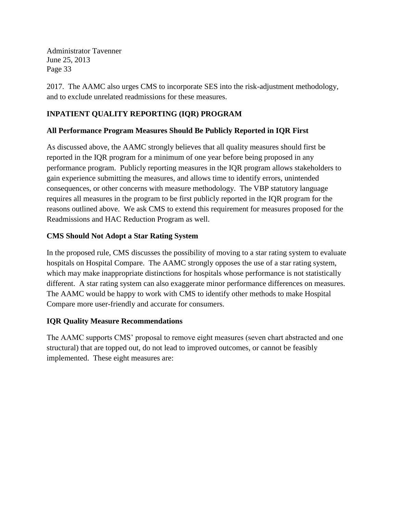2017. The AAMC also urges CMS to incorporate SES into the risk-adjustment methodology, and to exclude unrelated readmissions for these measures.

# **INPATIENT QUALITY REPORTING (IQR) PROGRAM**

## **All Performance Program Measures Should Be Publicly Reported in IQR First**

As discussed above, the AAMC strongly believes that all quality measures should first be reported in the IQR program for a minimum of one year before being proposed in any performance program. Publicly reporting measures in the IQR program allows stakeholders to gain experience submitting the measures, and allows time to identify errors, unintended consequences, or other concerns with measure methodology. The VBP statutory language requires all measures in the program to be first publicly reported in the IQR program for the reasons outlined above. We ask CMS to extend this requirement for measures proposed for the Readmissions and HAC Reduction Program as well.

## **CMS Should Not Adopt a Star Rating System**

In the proposed rule, CMS discusses the possibility of moving to a star rating system to evaluate hospitals on Hospital Compare. The AAMC strongly opposes the use of a star rating system, which may make inappropriate distinctions for hospitals whose performance is not statistically different. A star rating system can also exaggerate minor performance differences on measures. The AAMC would be happy to work with CMS to identify other methods to make Hospital Compare more user-friendly and accurate for consumers.

## **IQR Quality Measure Recommendations**

The AAMC supports CMS' proposal to remove eight measures (seven chart abstracted and one structural) that are topped out, do not lead to improved outcomes, or cannot be feasibly implemented. These eight measures are: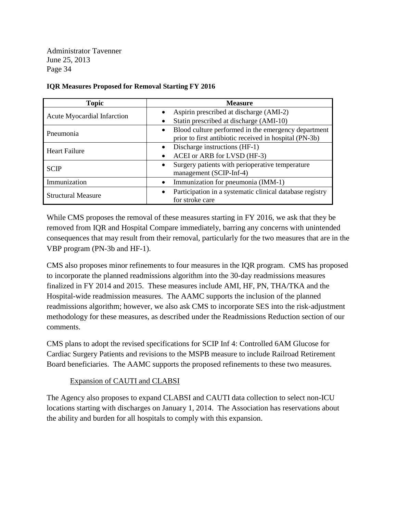| <b>Topic</b>                | <b>Measure</b>                                                                                                             |
|-----------------------------|----------------------------------------------------------------------------------------------------------------------------|
| Acute Myocardial Infarction | Aspirin prescribed at discharge (AMI-2)                                                                                    |
|                             | Statin prescribed at discharge (AMI-10)                                                                                    |
| Pneumonia                   | Blood culture performed in the emergency department<br>$\bullet$<br>prior to first antibiotic received in hospital (PN-3b) |
| <b>Heart Failure</b>        | Discharge instructions (HF-1)                                                                                              |
|                             | ACEI or ARB for LVSD (HF-3)                                                                                                |
| <b>SCIP</b>                 | Surgery patients with perioperative temperature<br>$\bullet$<br>management (SCIP-Inf-4)                                    |
| Immunization                | Immunization for pneumonia (IMM-1)<br>$\bullet$                                                                            |
| <b>Structural Measure</b>   | Participation in a systematic clinical database registry<br>$\bullet$<br>for stroke care                                   |

## **IQR Measures Proposed for Removal Starting FY 2016**

While CMS proposes the removal of these measures starting in FY 2016, we ask that they be removed from IQR and Hospital Compare immediately, barring any concerns with unintended consequences that may result from their removal, particularly for the two measures that are in the VBP program (PN-3b and HF-1).

CMS also proposes minor refinements to four measures in the IQR program. CMS has proposed to incorporate the planned readmissions algorithm into the 30-day readmissions measures finalized in FY 2014 and 2015. These measures include AMI, HF, PN, THA/TKA and the Hospital-wide readmission measures. The AAMC supports the inclusion of the planned readmissions algorithm; however, we also ask CMS to incorporate SES into the risk-adjustment methodology for these measures, as described under the Readmissions Reduction section of our comments.

CMS plans to adopt the revised specifications for SCIP Inf 4: Controlled 6AM Glucose for Cardiac Surgery Patients and revisions to the MSPB measure to include Railroad Retirement Board beneficiaries. The AAMC supports the proposed refinements to these two measures.

## Expansion of CAUTI and CLABSI

The Agency also proposes to expand CLABSI and CAUTI data collection to select non-ICU locations starting with discharges on January 1, 2014. The Association has reservations about the ability and burden for all hospitals to comply with this expansion.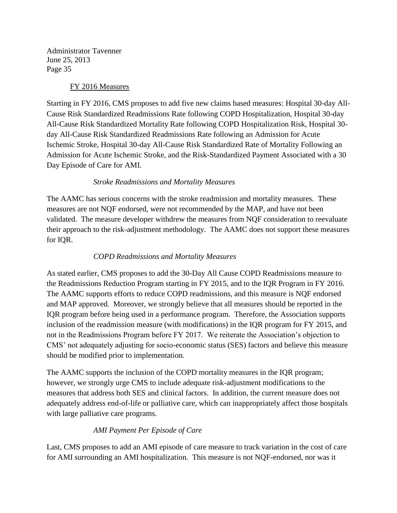## FY 2016 Measures

Starting in FY 2016, CMS proposes to add five new claims based measures: Hospital 30-day All-Cause Risk Standardized Readmissions Rate following COPD Hospitalization, Hospital 30-day All-Cause Risk Standardized Mortality Rate following COPD Hospitalization Risk, Hospital 30 day All-Cause Risk Standardized Readmissions Rate following an Admission for Acute Ischemic Stroke, Hospital 30-day All-Cause Risk Standardized Rate of Mortality Following an Admission for Acute Ischemic Stroke, and the Risk-Standardized Payment Associated with a 30 Day Episode of Care for AMI.

## *Stroke Readmissions and Mortality Measures*

The AAMC has serious concerns with the stroke readmission and mortality measures. These measures are not NQF endorsed, were not recommended by the MAP, and have not been validated. The measure developer withdrew the measures from NQF consideration to reevaluate their approach to the risk-adjustment methodology. The AAMC does not support these measures for IQR.

### *COPD Readmissions and Mortality Measures*

As stated earlier, CMS proposes to add the 30-Day All Cause COPD Readmissions measure to the Readmissions Reduction Program starting in FY 2015, and to the IQR Program in FY 2016. The AAMC supports efforts to reduce COPD readmissions, and this measure is NQF endorsed and MAP approved. Moreover, we strongly believe that all measures should be reported in the IQR program before being used in a performance program. Therefore, the Association supports inclusion of the readmission measure (with modifications) in the IQR program for FY 2015, and not in the Readmissions Program before FY 2017. We reiterate the Association's objection to CMS' not adequately adjusting for socio-economic status (SES) factors and believe this measure should be modified prior to implementation.

The AAMC supports the inclusion of the COPD mortality measures in the IQR program; however, we strongly urge CMS to include adequate risk-adjustment modifications to the measures that address both SES and clinical factors. In addition, the current measure does not adequately address end-of-life or palliative care, which can inappropriately affect those hospitals with large palliative care programs.

## *AMI Payment Per Episode of Care*

Last, CMS proposes to add an AMI episode of care measure to track variation in the cost of care for AMI surrounding an AMI hospitalization. This measure is not NQF-endorsed, nor was it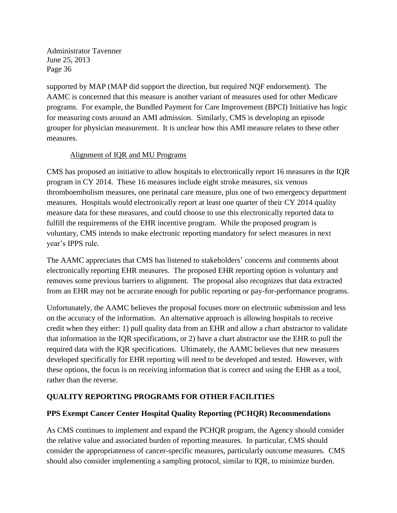supported by MAP (MAP did support the direction, but required NQF endorsement). The AAMC is concerned that this measure is another variant of measures used for other Medicare programs. For example, the Bundled Payment for Care Improvement (BPCI) Initiative has logic for measuring costs around an AMI admission. Similarly, CMS is developing an episode grouper for physician measurement. It is unclear how this AMI measure relates to these other measures.

## Alignment of IQR and MU Programs

CMS has proposed an initiative to allow hospitals to electronically report 16 measures in the IQR program in CY 2014. These 16 measures include eight stroke measures, six venous thromboembolism measures, one perinatal care measure, plus one of two emergency department measures. Hospitals would electronically report at least one quarter of their CY 2014 quality measure data for these measures, and could choose to use this electronically reported data to fulfill the requirements of the EHR incentive program. While the proposed program is voluntary, CMS intends to make electronic reporting mandatory for select measures in next year's IPPS rule.

The AAMC appreciates that CMS has listened to stakeholders' concerns and comments about electronically reporting EHR measures. The proposed EHR reporting option is voluntary and removes some previous barriers to alignment. The proposal also recognizes that data extracted from an EHR may not be accurate enough for public reporting or pay-for-performance programs.

Unfortunately, the AAMC believes the proposal focuses more on electronic submission and less on the accuracy of the information. An alternative approach is allowing hospitals to receive credit when they either: 1) pull quality data from an EHR and allow a chart abstractor to validate that information in the IQR specifications, or 2) have a chart abstractor use the EHR to pull the required data with the IQR specifications. Ultimately, the AAMC believes that new measures developed specifically for EHR reporting will need to be developed and tested. However, with these options, the focus is on receiving information that is correct and using the EHR as a tool, rather than the reverse.

## **QUALITY REPORTING PROGRAMS FOR OTHER FACILITIES**

## **PPS Exempt Cancer Center Hospital Quality Reporting (PCHQR) Recommendations**

As CMS continues to implement and expand the PCHQR program, the Agency should consider the relative value and associated burden of reporting measures. In particular, CMS should consider the appropriateness of cancer-specific measures, particularly outcome measures. CMS should also consider implementing a sampling protocol, similar to IQR, to minimize burden.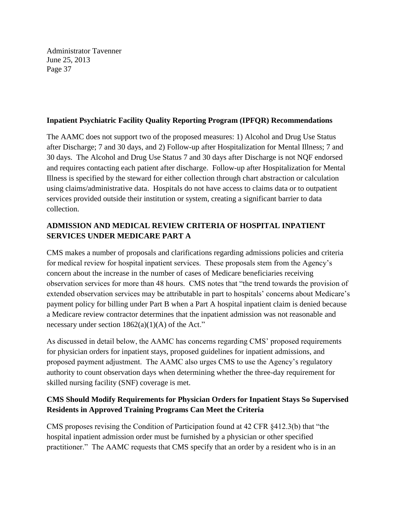## **Inpatient Psychiatric Facility Quality Reporting Program (IPFQR) Recommendations**

The AAMC does not support two of the proposed measures: 1) Alcohol and Drug Use Status after Discharge; 7 and 30 days, and 2) Follow-up after Hospitalization for Mental Illness; 7 and 30 days. The Alcohol and Drug Use Status 7 and 30 days after Discharge is not NQF endorsed and requires contacting each patient after discharge. Follow-up after Hospitalization for Mental Illness is specified by the steward for either collection through chart abstraction or calculation using claims/administrative data. Hospitals do not have access to claims data or to outpatient services provided outside their institution or system, creating a significant barrier to data collection.

# **ADMISSION AND MEDICAL REVIEW CRITERIA OF HOSPITAL INPATIENT SERVICES UNDER MEDICARE PART A**

CMS makes a number of proposals and clarifications regarding admissions policies and criteria for medical review for hospital inpatient services. These proposals stem from the Agency's concern about the increase in the number of cases of Medicare beneficiaries receiving observation services for more than 48 hours. CMS notes that "the trend towards the provision of extended observation services may be attributable in part to hospitals' concerns about Medicare's payment policy for billing under Part B when a Part A hospital inpatient claim is denied because a Medicare review contractor determines that the inpatient admission was not reasonable and necessary under section  $1862(a)(1)(A)$  of the Act."

As discussed in detail below, the AAMC has concerns regarding CMS' proposed requirements for physician orders for inpatient stays, proposed guidelines for inpatient admissions, and proposed payment adjustment. The AAMC also urges CMS to use the Agency's regulatory authority to count observation days when determining whether the three-day requirement for skilled nursing facility (SNF) coverage is met.

# **CMS Should Modify Requirements for Physician Orders for Inpatient Stays So Supervised Residents in Approved Training Programs Can Meet the Criteria**

CMS proposes revising the Condition of Participation found at 42 CFR §412.3(b) that "the hospital inpatient admission order must be furnished by a physician or other specified practitioner." The AAMC requests that CMS specify that an order by a resident who is in an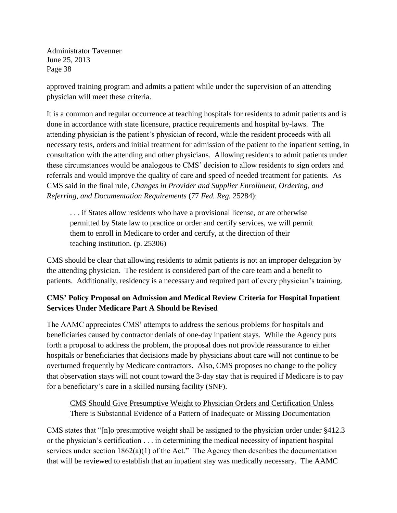approved training program and admits a patient while under the supervision of an attending physician will meet these criteria.

It is a common and regular occurrence at teaching hospitals for residents to admit patients and is done in accordance with state licensure, practice requirements and hospital by-laws. The attending physician is the patient's physician of record, while the resident proceeds with all necessary tests, orders and initial treatment for admission of the patient to the inpatient setting, in consultation with the attending and other physicians. Allowing residents to admit patients under these circumstances would be analogous to CMS' decision to allow residents to sign orders and referrals and would improve the quality of care and speed of needed treatment for patients. As CMS said in the final rule, *Changes in Provider and Supplier Enrollment, Ordering, and Referring, and Documentation Requirements* (77 *Fed. Reg.* 25284):

. . . if States allow residents who have a provisional license, or are otherwise permitted by State law to practice or order and certify services, we will permit them to enroll in Medicare to order and certify, at the direction of their teaching institution. (p. 25306)

CMS should be clear that allowing residents to admit patients is not an improper delegation by the attending physician. The resident is considered part of the care team and a benefit to patients. Additionally, residency is a necessary and required part of every physician's training.

# **CMS' Policy Proposal on Admission and Medical Review Criteria for Hospital Inpatient Services Under Medicare Part A Should be Revised**

The AAMC appreciates CMS' attempts to address the serious problems for hospitals and beneficiaries caused by contractor denials of one-day inpatient stays. While the Agency puts forth a proposal to address the problem, the proposal does not provide reassurance to either hospitals or beneficiaries that decisions made by physicians about care will not continue to be overturned frequently by Medicare contractors. Also, CMS proposes no change to the policy that observation stays will not count toward the 3-day stay that is required if Medicare is to pay for a beneficiary's care in a skilled nursing facility (SNF).

# CMS Should Give Presumptive Weight to Physician Orders and Certification Unless There is Substantial Evidence of a Pattern of Inadequate or Missing Documentation

CMS states that "[n]o presumptive weight shall be assigned to the physician order under §412.3 or the physician's certification . . . in determining the medical necessity of inpatient hospital services under section 1862(a)(1) of the Act." The Agency then describes the documentation that will be reviewed to establish that an inpatient stay was medically necessary. The AAMC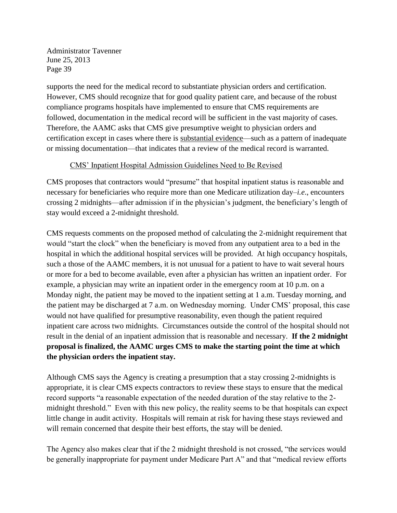supports the need for the medical record to substantiate physician orders and certification. However, CMS should recognize that for good quality patient care, and because of the robust compliance programs hospitals have implemented to ensure that CMS requirements are followed, documentation in the medical record will be sufficient in the vast majority of cases. Therefore, the AAMC asks that CMS give presumptive weight to physician orders and certification except in cases where there is substantial evidence—such as a pattern of inadequate or missing documentation—that indicates that a review of the medical record is warranted.

## CMS' Inpatient Hospital Admission Guidelines Need to Be Revised

CMS proposes that contractors would "presume" that hospital inpatient status is reasonable and necessary for beneficiaries who require more than one Medicare utilization day–*i.e*., encounters crossing 2 midnights—after admission if in the physician's judgment, the beneficiary's length of stay would exceed a 2-midnight threshold.

CMS requests comments on the proposed method of calculating the 2-midnight requirement that would "start the clock" when the beneficiary is moved from any outpatient area to a bed in the hospital in which the additional hospital services will be provided. At high occupancy hospitals, such a those of the AAMC members, it is not unusual for a patient to have to wait several hours or more for a bed to become available, even after a physician has written an inpatient order. For example, a physician may write an inpatient order in the emergency room at 10 p.m. on a Monday night, the patient may be moved to the inpatient setting at 1 a.m. Tuesday morning, and the patient may be discharged at 7 a.m. on Wednesday morning. Under CMS' proposal, this case would not have qualified for presumptive reasonability, even though the patient required inpatient care across two midnights. Circumstances outside the control of the hospital should not result in the denial of an inpatient admission that is reasonable and necessary. **If the 2 midnight proposal is finalized, the AAMC urges CMS to make the starting point the time at which the physician orders the inpatient stay.**

Although CMS says the Agency is creating a presumption that a stay crossing 2-midnights is appropriate, it is clear CMS expects contractors to review these stays to ensure that the medical record supports "a reasonable expectation of the needed duration of the stay relative to the 2 midnight threshold." Even with this new policy, the reality seems to be that hospitals can expect little change in audit activity. Hospitals will remain at risk for having these stays reviewed and will remain concerned that despite their best efforts, the stay will be denied.

The Agency also makes clear that if the 2 midnight threshold is not crossed, "the services would be generally inappropriate for payment under Medicare Part A" and that "medical review efforts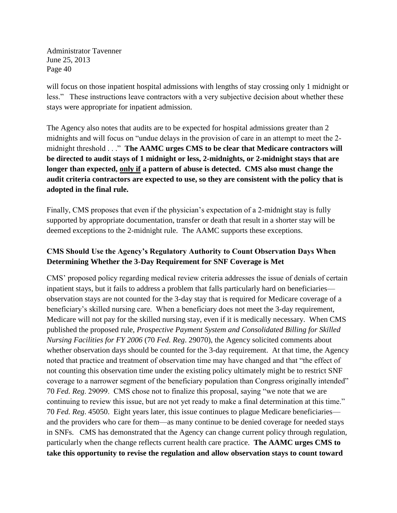will focus on those inpatient hospital admissions with lengths of stay crossing only 1 midnight or less." These instructions leave contractors with a very subjective decision about whether these stays were appropriate for inpatient admission.

The Agency also notes that audits are to be expected for hospital admissions greater than 2 midnights and will focus on "undue delays in the provision of care in an attempt to meet the 2 midnight threshold . . ." **The AAMC urges CMS to be clear that Medicare contractors will be directed to audit stays of 1 midnight or less, 2-midnights, or 2-midnight stays that are longer than expected, only if a pattern of abuse is detected. CMS also must change the audit criteria contractors are expected to use, so they are consistent with the policy that is adopted in the final rule.** 

Finally, CMS proposes that even if the physician's expectation of a 2-midnight stay is fully supported by appropriate documentation, transfer or death that result in a shorter stay will be deemed exceptions to the 2-midnight rule. The AAMC supports these exceptions.

# **CMS Should Use the Agency's Regulatory Authority to Count Observation Days When Determining Whether the 3-Day Requirement for SNF Coverage is Met**

CMS' proposed policy regarding medical review criteria addresses the issue of denials of certain inpatient stays, but it fails to address a problem that falls particularly hard on beneficiaries observation stays are not counted for the 3-day stay that is required for Medicare coverage of a beneficiary's skilled nursing care. When a beneficiary does not meet the 3-day requirement, Medicare will not pay for the skilled nursing stay, even if it is medically necessary. When CMS published the proposed rule, *Prospective Payment System and Consolidated Billing for Skilled Nursing Facilities for FY 2006* (70 *Fed. Reg*. 29070), the Agency solicited comments about whether observation days should be counted for the 3-day requirement. At that time, the Agency noted that practice and treatment of observation time may have changed and that "the effect of not counting this observation time under the existing policy ultimately might be to restrict SNF coverage to a narrower segment of the beneficiary population than Congress originally intended" 70 *Fed. Reg*. 29099. CMS chose not to finalize this proposal, saying "we note that we are continuing to review this issue, but are not yet ready to make a final determination at this time." 70 *Fed. Reg*. 45050. Eight years later, this issue continues to plague Medicare beneficiaries and the providers who care for them—as many continue to be denied coverage for needed stays in SNFs. CMS has demonstrated that the Agency can change current policy through regulation, particularly when the change reflects current health care practice. **The AAMC urges CMS to take this opportunity to revise the regulation and allow observation stays to count toward**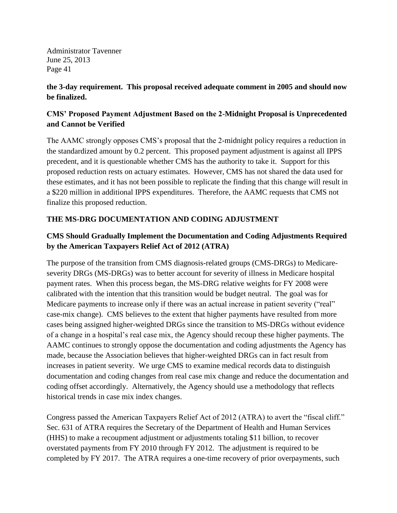## **the 3-day requirement. This proposal received adequate comment in 2005 and should now be finalized.**

# **CMS' Proposed Payment Adjustment Based on the 2-Midnight Proposal is Unprecedented and Cannot be Verified**

The AAMC strongly opposes CMS's proposal that the 2-midnight policy requires a reduction in the standardized amount by 0.2 percent. This proposed payment adjustment is against all IPPS precedent, and it is questionable whether CMS has the authority to take it. Support for this proposed reduction rests on actuary estimates. However, CMS has not shared the data used for these estimates, and it has not been possible to replicate the finding that this change will result in a \$220 million in additional IPPS expenditures. Therefore, the AAMC requests that CMS not finalize this proposed reduction.

# **THE MS-DRG DOCUMENTATION AND CODING ADJUSTMENT**

# **CMS Should Gradually Implement the Documentation and Coding Adjustments Required by the American Taxpayers Relief Act of 2012 (ATRA)**

The purpose of the transition from CMS diagnosis-related groups (CMS-DRGs) to Medicareseverity DRGs (MS-DRGs) was to better account for severity of illness in Medicare hospital payment rates. When this process began, the MS-DRG relative weights for FY 2008 were calibrated with the intention that this transition would be budget neutral. The goal was for Medicare payments to increase only if there was an actual increase in patient severity ("real" case-mix change). CMS believes to the extent that higher payments have resulted from more cases being assigned higher-weighted DRGs since the transition to MS-DRGs without evidence of a change in a hospital's real case mix, the Agency should recoup these higher payments. The AAMC continues to strongly oppose the documentation and coding adjustments the Agency has made, because the Association believes that higher-weighted DRGs can in fact result from increases in patient severity. We urge CMS to examine medical records data to distinguish documentation and coding changes from real case mix change and reduce the documentation and coding offset accordingly. Alternatively, the Agency should use a methodology that reflects historical trends in case mix index changes.

Congress passed the American Taxpayers Relief Act of 2012 (ATRA) to avert the "fiscal cliff." Sec. 631 of ATRA requires the Secretary of the Department of Health and Human Services (HHS) to make a recoupment adjustment or adjustments totaling \$11 billion, to recover overstated payments from FY 2010 through FY 2012. The adjustment is required to be completed by FY 2017. The ATRA requires a one-time recovery of prior overpayments, such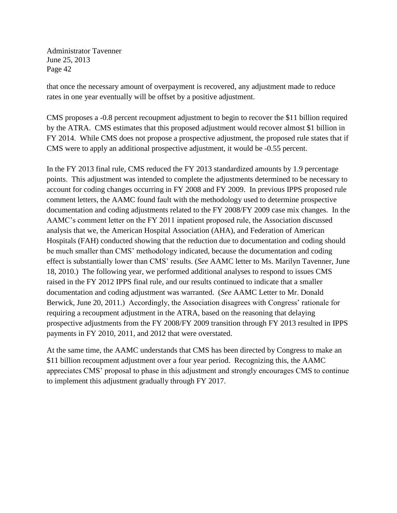that once the necessary amount of overpayment is recovered, any adjustment made to reduce rates in one year eventually will be offset by a positive adjustment.

CMS proposes a -0.8 percent recoupment adjustment to begin to recover the \$11 billion required by the ATRA. CMS estimates that this proposed adjustment would recover almost \$1 billion in FY 2014. While CMS does not propose a prospective adjustment, the proposed rule states that if CMS were to apply an additional prospective adjustment, it would be -0.55 percent.

In the FY 2013 final rule, CMS reduced the FY 2013 standardized amounts by 1.9 percentage points. This adjustment was intended to complete the adjustments determined to be necessary to account for coding changes occurring in FY 2008 and FY 2009. In previous IPPS proposed rule comment letters, the AAMC found fault with the methodology used to determine prospective documentation and coding adjustments related to the FY 2008/FY 2009 case mix changes. In the AAMC's comment letter on the FY 2011 inpatient proposed rule, the Association discussed analysis that we, the American Hospital Association (AHA), and Federation of American Hospitals (FAH) conducted showing that the reduction due to documentation and coding should be much smaller than CMS' methodology indicated, because the documentation and coding effect is substantially lower than CMS' results. (*See* AAMC letter to Ms. Marilyn Tavenner, June 18, 2010.) The following year, we performed additional analyses to respond to issues CMS raised in the FY 2012 IPPS final rule, and our results continued to indicate that a smaller documentation and coding adjustment was warranted. (*See* AAMC Letter to Mr. Donald Berwick, June 20, 2011.) Accordingly, the Association disagrees with Congress' rationale for requiring a recoupment adjustment in the ATRA, based on the reasoning that delaying prospective adjustments from the FY 2008/FY 2009 transition through FY 2013 resulted in IPPS payments in FY 2010, 2011, and 2012 that were overstated.

At the same time, the AAMC understands that CMS has been directed by Congress to make an \$11 billion recoupment adjustment over a four year period. Recognizing this, the AAMC appreciates CMS' proposal to phase in this adjustment and strongly encourages CMS to continue to implement this adjustment gradually through FY 2017.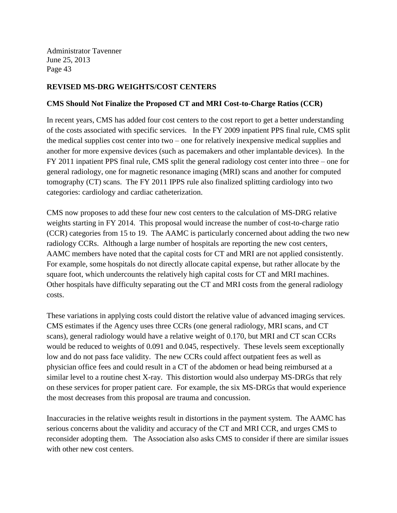## **REVISED MS-DRG WEIGHTS/COST CENTERS**

## **CMS Should Not Finalize the Proposed CT and MRI Cost-to-Charge Ratios (CCR)**

In recent years, CMS has added four cost centers to the cost report to get a better understanding of the costs associated with specific services. In the FY 2009 inpatient PPS final rule, CMS split the medical supplies cost center into two – one for relatively inexpensive medical supplies and another for more expensive devices (such as pacemakers and other implantable devices). In the FY 2011 inpatient PPS final rule, CMS split the general radiology cost center into three – one for general radiology, one for magnetic resonance imaging (MRI) scans and another for computed tomography (CT) scans. The FY 2011 IPPS rule also finalized splitting cardiology into two categories: cardiology and cardiac catheterization.

CMS now proposes to add these four new cost centers to the calculation of MS-DRG relative weights starting in FY 2014. This proposal would increase the number of cost-to-charge ratio (CCR) categories from 15 to 19. The AAMC is particularly concerned about adding the two new radiology CCRs. Although a large number of hospitals are reporting the new cost centers, AAMC members have noted that the capital costs for CT and MRI are not applied consistently. For example, some hospitals do not directly allocate capital expense, but rather allocate by the square foot, which undercounts the relatively high capital costs for CT and MRI machines. Other hospitals have difficulty separating out the CT and MRI costs from the general radiology costs.

These variations in applying costs could distort the relative value of advanced imaging services. CMS estimates if the Agency uses three CCRs (one general radiology, MRI scans, and CT scans), general radiology would have a relative weight of 0.170, but MRI and CT scan CCRs would be reduced to weights of 0.091 and 0.045, respectively. These levels seem exceptionally low and do not pass face validity. The new CCRs could affect outpatient fees as well as physician office fees and could result in a CT of the abdomen or head being reimbursed at a similar level to a routine chest X-ray. This distortion would also underpay MS-DRGs that rely on these services for proper patient care. For example, the six MS-DRGs that would experience the most decreases from this proposal are trauma and concussion.

Inaccuracies in the relative weights result in distortions in the payment system. The AAMC has serious concerns about the validity and accuracy of the CT and MRI CCR, and urges CMS to reconsider adopting them. The Association also asks CMS to consider if there are similar issues with other new cost centers.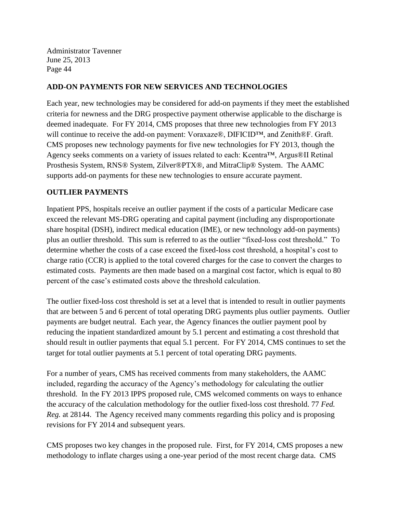## **ADD-ON PAYMENTS FOR NEW SERVICES AND TECHNOLOGIES**

Each year, new technologies may be considered for add-on payments if they meet the established criteria for newness and the DRG prospective payment otherwise applicable to the discharge is deemed inadequate. For FY 2014, CMS proposes that three new technologies from FY 2013 will continue to receive the add-on payment: Voraxaze®, DIFICID™, and Zenith®F. Graft. CMS proposes new technology payments for five new technologies for FY 2013, though the Agency seeks comments on a variety of issues related to each: Kcentra™, Argus®II Retinal Prosthesis System, RNS® System, Zilver®PTX®, and MitraClip® System. The AAMC supports add-on payments for these new technologies to ensure accurate payment.

## **OUTLIER PAYMENTS**

Inpatient PPS, hospitals receive an outlier payment if the costs of a particular Medicare case exceed the relevant MS-DRG operating and capital payment (including any disproportionate share hospital (DSH), indirect medical education (IME), or new technology add-on payments) plus an outlier threshold. This sum is referred to as the outlier "fixed-loss cost threshold." To determine whether the costs of a case exceed the fixed-loss cost threshold, a hospital's cost to charge ratio (CCR) is applied to the total covered charges for the case to convert the charges to estimated costs. Payments are then made based on a marginal cost factor, which is equal to 80 percent of the case's estimated costs above the threshold calculation.

The outlier fixed-loss cost threshold is set at a level that is intended to result in outlier payments that are between 5 and 6 percent of total operating DRG payments plus outlier payments. Outlier payments are budget neutral. Each year, the Agency finances the outlier payment pool by reducing the inpatient standardized amount by 5.1 percent and estimating a cost threshold that should result in outlier payments that equal 5.1 percent. For FY 2014, CMS continues to set the target for total outlier payments at 5.1 percent of total operating DRG payments.

For a number of years, CMS has received comments from many stakeholders, the AAMC included, regarding the accuracy of the Agency's methodology for calculating the outlier threshold. In the FY 2013 IPPS proposed rule, CMS welcomed comments on ways to enhance the accuracy of the calculation methodology for the outlier fixed-loss cost threshold. 77 *Fed. Reg.* at 28144. The Agency received many comments regarding this policy and is proposing revisions for FY 2014 and subsequent years.

CMS proposes two key changes in the proposed rule. First, for FY 2014, CMS proposes a new methodology to inflate charges using a one-year period of the most recent charge data. CMS